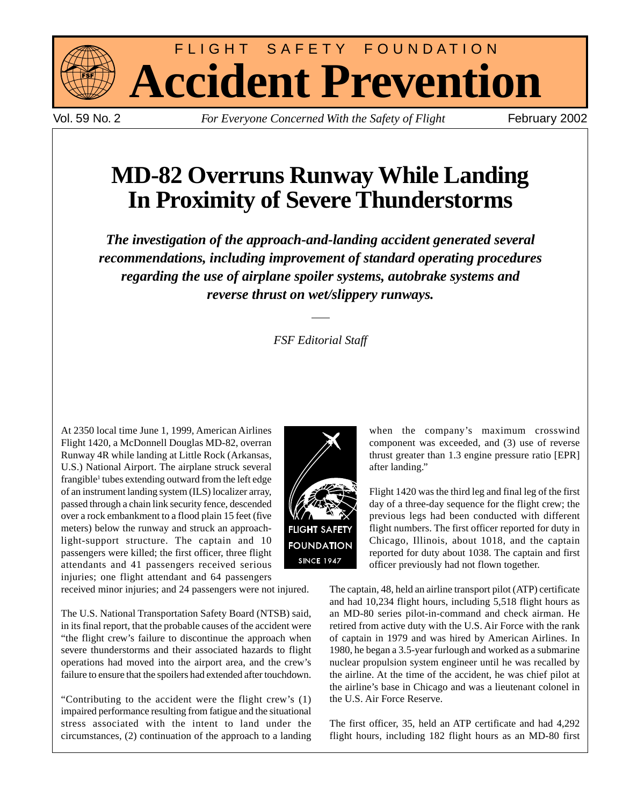

FLIGHT SAFETY FOUNDATION **Accident Prevention**

Vol. 59 No. 2 *For Everyone Concerned With the Safety of Flight* February 2002

# **MD-82 Overruns Runway While Landing In Proximity of Severe Thunderstorms**

*The investigation of the approach-and-landing accident generated several recommendations, including improvement of standard operating procedures regarding the use of airplane spoiler systems, autobrake systems and reverse thrust on wet/slippery runways.*

## *FSF Editorial Staff*

At 2350 local time June 1, 1999, American Airlines Flight 1420, a McDonnell Douglas MD-82, overran Runway 4R while landing at Little Rock (Arkansas, U.S.) National Airport. The airplane struck several frangible<sup>1</sup> tubes extending outward from the left edge of an instrument landing system (ILS) localizer array, passed through a chain link security fence, descended over a rock embankment to a flood plain 15 feet (five meters) below the runway and struck an approachlight-support structure. The captain and 10 passengers were killed; the first officer, three flight attendants and 41 passengers received serious injuries; one flight attendant and 64 passengers

received minor injuries; and 24 passengers were not injured.

The U.S. National Transportation Safety Board (NTSB) said, in its final report, that the probable causes of the accident were "the flight crew's failure to discontinue the approach when severe thunderstorms and their associated hazards to flight operations had moved into the airport area, and the crew's failure to ensure that the spoilers had extended after touchdown.

"Contributing to the accident were the flight crew's (1) impaired performance resulting from fatigue and the situational stress associated with the intent to land under the circumstances, (2) continuation of the approach to a landing



when the company's maximum crosswind component was exceeded, and (3) use of reverse thrust greater than 1.3 engine pressure ratio [EPR] after landing."

Flight 1420 was the third leg and final leg of the first day of a three-day sequence for the flight crew; the previous legs had been conducted with different flight numbers. The first officer reported for duty in Chicago, Illinois, about 1018, and the captain reported for duty about 1038. The captain and first officer previously had not flown together.

The captain, 48, held an airline transport pilot (ATP) certificate and had 10,234 flight hours, including 5,518 flight hours as an MD-80 series pilot-in-command and check airman. He retired from active duty with the U.S. Air Force with the rank of captain in 1979 and was hired by American Airlines. In 1980, he began a 3.5-year furlough and worked as a submarine nuclear propulsion system engineer until he was recalled by the airline. At the time of the accident, he was chief pilot at the airline's base in Chicago and was a lieutenant colonel in the U.S. Air Force Reserve.

The first officer, 35, held an ATP certificate and had 4,292 flight hours, including 182 flight hours as an MD-80 first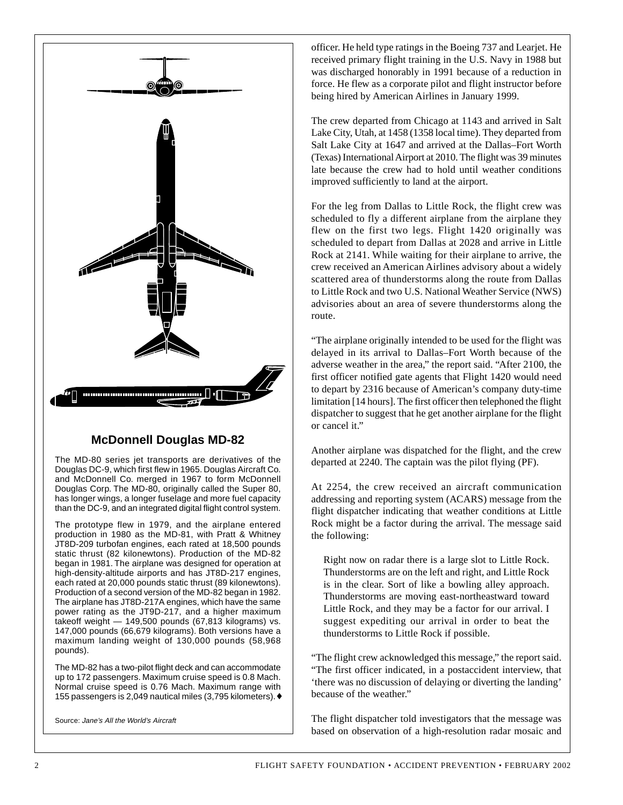

## **McDonnell Douglas MD-82**

The MD-80 series jet transports are derivatives of the Douglas DC-9, which first flew in 1965. Douglas Aircraft Co. and McDonnell Co. merged in 1967 to form McDonnell Douglas Corp. The MD-80, originally called the Super 80, has longer wings, a longer fuselage and more fuel capacity than the DC-9, and an integrated digital flight control system.

The prototype flew in 1979, and the airplane entered production in 1980 as the MD-81, with Pratt & Whitney JT8D-209 turbofan engines, each rated at 18,500 pounds static thrust (82 kilonewtons). Production of the MD-82 began in 1981. The airplane was designed for operation at high-density-altitude airports and has JT8D-217 engines, each rated at 20,000 pounds static thrust (89 kilonewtons). Production of a second version of the MD-82 began in 1982. The airplane has JT8D-217A engines, which have the same power rating as the JT9D-217, and a higher maximum takeoff weight — 149,500 pounds (67,813 kilograms) vs. 147,000 pounds (66,679 kilograms). Both versions have a maximum landing weight of 130,000 pounds (58,968 pounds).

The MD-82 has a two-pilot flight deck and can accommodate up to 172 passengers. Maximum cruise speed is 0.8 Mach. Normal cruise speed is 0.76 Mach. Maximum range with 155 passengers is 2,049 nautical miles (3,795 kilometers).♦

Source: Jane's All the World's Aircraft

officer. He held type ratings in the Boeing 737 and Learjet. He received primary flight training in the U.S. Navy in 1988 but was discharged honorably in 1991 because of a reduction in force. He flew as a corporate pilot and flight instructor before being hired by American Airlines in January 1999.

The crew departed from Chicago at 1143 and arrived in Salt Lake City, Utah, at 1458 (1358 local time). They departed from Salt Lake City at 1647 and arrived at the Dallas–Fort Worth (Texas) International Airport at 2010. The flight was 39 minutes late because the crew had to hold until weather conditions improved sufficiently to land at the airport.

For the leg from Dallas to Little Rock, the flight crew was scheduled to fly a different airplane from the airplane they flew on the first two legs. Flight 1420 originally was scheduled to depart from Dallas at 2028 and arrive in Little Rock at 2141. While waiting for their airplane to arrive, the crew received an American Airlines advisory about a widely scattered area of thunderstorms along the route from Dallas to Little Rock and two U.S. National Weather Service (NWS) advisories about an area of severe thunderstorms along the route.

"The airplane originally intended to be used for the flight was delayed in its arrival to Dallas–Fort Worth because of the adverse weather in the area," the report said. "After 2100, the first officer notified gate agents that Flight 1420 would need to depart by 2316 because of American's company duty-time limitation [14 hours]. The first officer then telephoned the flight dispatcher to suggest that he get another airplane for the flight or cancel it."

Another airplane was dispatched for the flight, and the crew departed at 2240. The captain was the pilot flying (PF).

At 2254, the crew received an aircraft communication addressing and reporting system (ACARS) message from the flight dispatcher indicating that weather conditions at Little Rock might be a factor during the arrival. The message said the following:

Right now on radar there is a large slot to Little Rock. Thunderstorms are on the left and right, and Little Rock is in the clear. Sort of like a bowling alley approach. Thunderstorms are moving east-northeastward toward Little Rock, and they may be a factor for our arrival. I suggest expediting our arrival in order to beat the thunderstorms to Little Rock if possible.

"The flight crew acknowledged this message," the report said. "The first officer indicated, in a postaccident interview, that 'there was no discussion of delaying or diverting the landing' because of the weather."

The flight dispatcher told investigators that the message was based on observation of a high-resolution radar mosaic and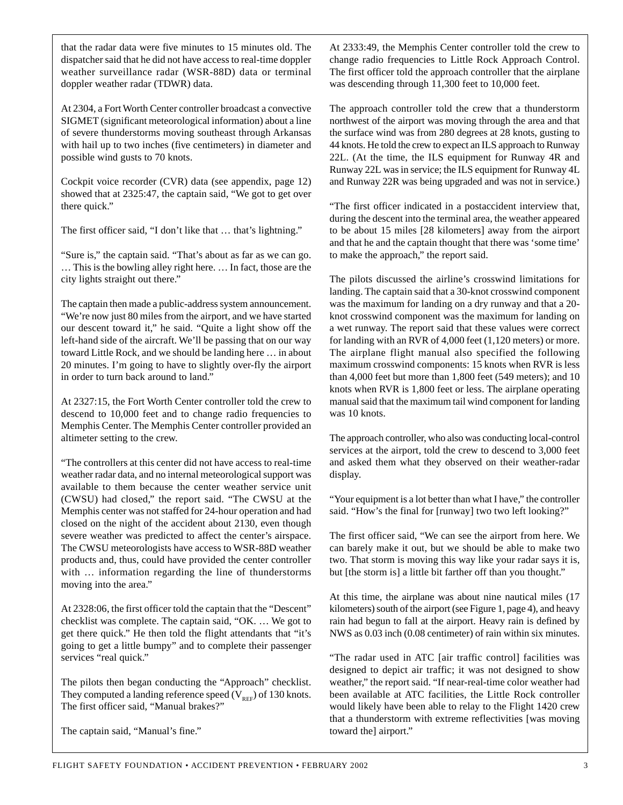that the radar data were five minutes to 15 minutes old. The dispatcher said that he did not have access to real-time doppler weather surveillance radar (WSR-88D) data or terminal doppler weather radar (TDWR) data.

At 2304, a Fort Worth Center controller broadcast a convective SIGMET (significant meteorological information) about a line of severe thunderstorms moving southeast through Arkansas with hail up to two inches (five centimeters) in diameter and possible wind gusts to 70 knots.

Cockpit voice recorder (CVR) data (see appendix, page 12) showed that at 2325:47, the captain said, "We got to get over there quick."

The first officer said, "I don't like that … that's lightning."

"Sure is," the captain said. "That's about as far as we can go. … This is the bowling alley right here. … In fact, those are the city lights straight out there."

The captain then made a public-address system announcement. "We're now just 80 miles from the airport, and we have started our descent toward it," he said. "Quite a light show off the left-hand side of the aircraft. We'll be passing that on our way toward Little Rock, and we should be landing here … in about 20 minutes. I'm going to have to slightly over-fly the airport in order to turn back around to land."

At 2327:15, the Fort Worth Center controller told the crew to descend to 10,000 feet and to change radio frequencies to Memphis Center. The Memphis Center controller provided an altimeter setting to the crew.

"The controllers at this center did not have access to real-time weather radar data, and no internal meteorological support was available to them because the center weather service unit (CWSU) had closed," the report said. "The CWSU at the Memphis center was not staffed for 24-hour operation and had closed on the night of the accident about 2130, even though severe weather was predicted to affect the center's airspace. The CWSU meteorologists have access to WSR-88D weather products and, thus, could have provided the center controller with … information regarding the line of thunderstorms moving into the area."

At 2328:06, the first officer told the captain that the "Descent" checklist was complete. The captain said, "OK. … We got to get there quick." He then told the flight attendants that "it's going to get a little bumpy" and to complete their passenger services "real quick."

The pilots then began conducting the "Approach" checklist. They computed a landing reference speed  $(V_{REF})$  of 130 knots. The first officer said, "Manual brakes?"

The captain said, "Manual's fine."

At 2333:49, the Memphis Center controller told the crew to change radio frequencies to Little Rock Approach Control. The first officer told the approach controller that the airplane was descending through 11,300 feet to 10,000 feet.

The approach controller told the crew that a thunderstorm northwest of the airport was moving through the area and that the surface wind was from 280 degrees at 28 knots, gusting to 44 knots. He told the crew to expect an ILS approach to Runway 22L. (At the time, the ILS equipment for Runway 4R and Runway 22L was in service; the ILS equipment for Runway 4L and Runway 22R was being upgraded and was not in service.)

"The first officer indicated in a postaccident interview that, during the descent into the terminal area, the weather appeared to be about 15 miles [28 kilometers] away from the airport and that he and the captain thought that there was 'some time' to make the approach," the report said.

The pilots discussed the airline's crosswind limitations for landing. The captain said that a 30-knot crosswind component was the maximum for landing on a dry runway and that a 20 knot crosswind component was the maximum for landing on a wet runway. The report said that these values were correct for landing with an RVR of 4,000 feet (1,120 meters) or more. The airplane flight manual also specified the following maximum crosswind components: 15 knots when RVR is less than 4,000 feet but more than 1,800 feet (549 meters); and 10 knots when RVR is 1,800 feet or less. The airplane operating manual said that the maximum tail wind component for landing was 10 knots.

The approach controller, who also was conducting local-control services at the airport, told the crew to descend to 3,000 feet and asked them what they observed on their weather-radar display.

"Your equipment is a lot better than what I have," the controller said. "How's the final for [runway] two two left looking?"

The first officer said, "We can see the airport from here. We can barely make it out, but we should be able to make two two. That storm is moving this way like your radar says it is, but [the storm is] a little bit farther off than you thought."

At this time, the airplane was about nine nautical miles (17 kilometers) south of the airport (see Figure 1, page 4), and heavy rain had begun to fall at the airport. Heavy rain is defined by NWS as 0.03 inch (0.08 centimeter) of rain within six minutes.

"The radar used in ATC [air traffic control] facilities was designed to depict air traffic; it was not designed to show weather," the report said. "If near-real-time color weather had been available at ATC facilities, the Little Rock controller would likely have been able to relay to the Flight 1420 crew that a thunderstorm with extreme reflectivities [was moving toward the] airport."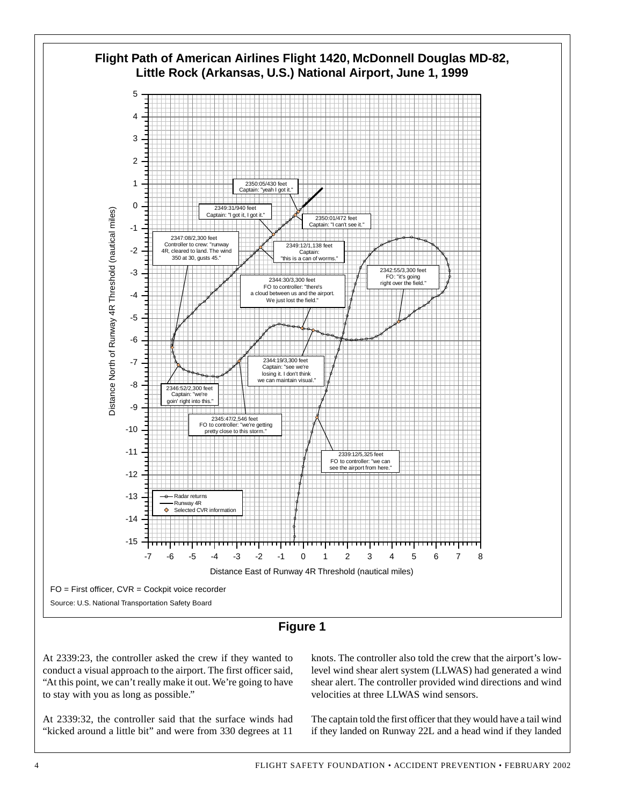



At 2339:23, the controller asked the crew if they wanted to conduct a visual approach to the airport. The first officer said, "At this point, we can't really make it out. We're going to have to stay with you as long as possible."

At 2339:32, the controller said that the surface winds had "kicked around a little bit" and were from 330 degrees at 11

knots. The controller also told the crew that the airport's lowlevel wind shear alert system (LLWAS) had generated a wind shear alert. The controller provided wind directions and wind velocities at three LLWAS wind sensors.

The captain told the first officer that they would have a tail wind if they landed on Runway 22L and a head wind if they landed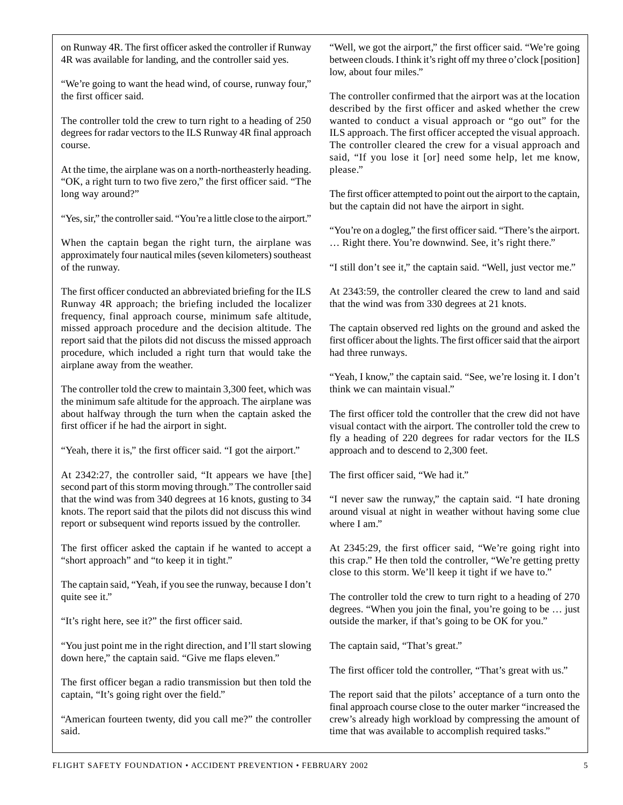on Runway 4R. The first officer asked the controller if Runway 4R was available for landing, and the controller said yes.

"We're going to want the head wind, of course, runway four," the first officer said.

The controller told the crew to turn right to a heading of 250 degrees for radar vectors to the ILS Runway 4R final approach course.

At the time, the airplane was on a north-northeasterly heading. "OK, a right turn to two five zero," the first officer said. "The long way around?"

"Yes, sir," the controller said. "You're a little close to the airport."

When the captain began the right turn, the airplane was approximately four nautical miles (seven kilometers) southeast of the runway.

The first officer conducted an abbreviated briefing for the ILS Runway 4R approach; the briefing included the localizer frequency, final approach course, minimum safe altitude, missed approach procedure and the decision altitude. The report said that the pilots did not discuss the missed approach procedure, which included a right turn that would take the airplane away from the weather.

The controller told the crew to maintain 3,300 feet, which was the minimum safe altitude for the approach. The airplane was about halfway through the turn when the captain asked the first officer if he had the airport in sight.

"Yeah, there it is," the first officer said. "I got the airport."

At 2342:27, the controller said, "It appears we have [the] second part of this storm moving through." The controller said that the wind was from 340 degrees at 16 knots, gusting to 34 knots. The report said that the pilots did not discuss this wind report or subsequent wind reports issued by the controller.

The first officer asked the captain if he wanted to accept a "short approach" and "to keep it in tight."

The captain said, "Yeah, if you see the runway, because I don't quite see it."

"It's right here, see it?" the first officer said.

"You just point me in the right direction, and I'll start slowing down here," the captain said. "Give me flaps eleven."

The first officer began a radio transmission but then told the captain, "It's going right over the field."

"American fourteen twenty, did you call me?" the controller said.

"Well, we got the airport," the first officer said. "We're going between clouds. I think it's right off my three o'clock [position] low, about four miles."

The controller confirmed that the airport was at the location described by the first officer and asked whether the crew wanted to conduct a visual approach or "go out" for the ILS approach. The first officer accepted the visual approach. The controller cleared the crew for a visual approach and said, "If you lose it [or] need some help, let me know, please."

The first officer attempted to point out the airport to the captain, but the captain did not have the airport in sight.

"You're on a dogleg," the first officer said. "There's the airport. … Right there. You're downwind. See, it's right there."

"I still don't see it," the captain said. "Well, just vector me."

At 2343:59, the controller cleared the crew to land and said that the wind was from 330 degrees at 21 knots.

The captain observed red lights on the ground and asked the first officer about the lights. The first officer said that the airport had three runways.

"Yeah, I know," the captain said. "See, we're losing it. I don't think we can maintain visual."

The first officer told the controller that the crew did not have visual contact with the airport. The controller told the crew to fly a heading of 220 degrees for radar vectors for the ILS approach and to descend to 2,300 feet.

The first officer said, "We had it."

"I never saw the runway," the captain said. "I hate droning around visual at night in weather without having some clue where I am."

At 2345:29, the first officer said, "We're going right into this crap." He then told the controller, "We're getting pretty close to this storm. We'll keep it tight if we have to."

The controller told the crew to turn right to a heading of 270 degrees. "When you join the final, you're going to be … just outside the marker, if that's going to be OK for you."

The captain said, "That's great."

The first officer told the controller, "That's great with us."

The report said that the pilots' acceptance of a turn onto the final approach course close to the outer marker "increased the crew's already high workload by compressing the amount of time that was available to accomplish required tasks."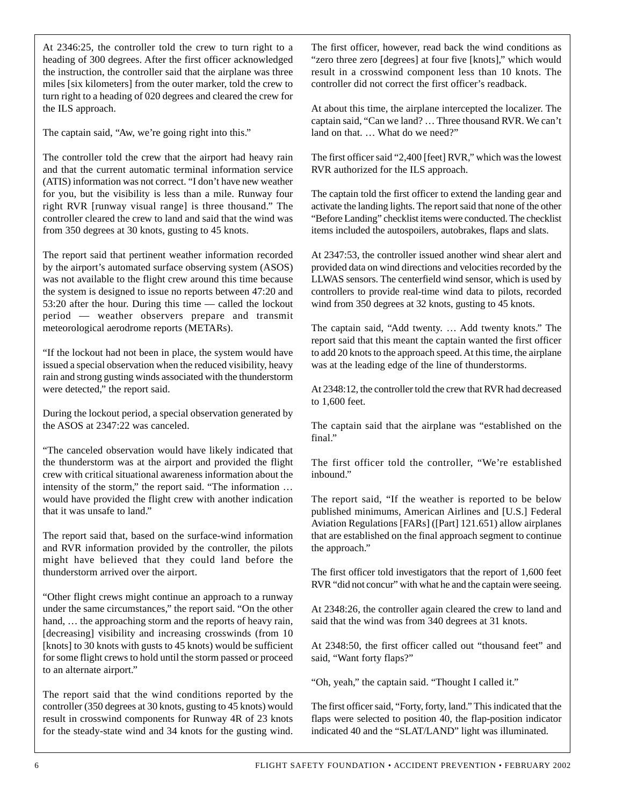At 2346:25, the controller told the crew to turn right to a heading of 300 degrees. After the first officer acknowledged the instruction, the controller said that the airplane was three miles [six kilometers] from the outer marker, told the crew to turn right to a heading of 020 degrees and cleared the crew for the ILS approach.

The captain said, "Aw, we're going right into this."

The controller told the crew that the airport had heavy rain and that the current automatic terminal information service (ATIS) information was not correct. "I don't have new weather for you, but the visibility is less than a mile. Runway four right RVR [runway visual range] is three thousand." The controller cleared the crew to land and said that the wind was from 350 degrees at 30 knots, gusting to 45 knots.

The report said that pertinent weather information recorded by the airport's automated surface observing system (ASOS) was not available to the flight crew around this time because the system is designed to issue no reports between 47:20 and 53:20 after the hour. During this time — called the lockout period — weather observers prepare and transmit meteorological aerodrome reports (METARs).

"If the lockout had not been in place, the system would have issued a special observation when the reduced visibility, heavy rain and strong gusting winds associated with the thunderstorm were detected," the report said.

During the lockout period, a special observation generated by the ASOS at 2347:22 was canceled.

"The canceled observation would have likely indicated that the thunderstorm was at the airport and provided the flight crew with critical situational awareness information about the intensity of the storm," the report said. "The information … would have provided the flight crew with another indication that it was unsafe to land."

The report said that, based on the surface-wind information and RVR information provided by the controller, the pilots might have believed that they could land before the thunderstorm arrived over the airport.

"Other flight crews might continue an approach to a runway under the same circumstances," the report said. "On the other hand, ... the approaching storm and the reports of heavy rain, [decreasing] visibility and increasing crosswinds (from 10 [knots] to 30 knots with gusts to 45 knots) would be sufficient for some flight crews to hold until the storm passed or proceed to an alternate airport."

The report said that the wind conditions reported by the controller (350 degrees at 30 knots, gusting to 45 knots) would result in crosswind components for Runway 4R of 23 knots for the steady-state wind and 34 knots for the gusting wind. The first officer, however, read back the wind conditions as "zero three zero [degrees] at four five [knots]," which would result in a crosswind component less than 10 knots. The controller did not correct the first officer's readback.

At about this time, the airplane intercepted the localizer. The captain said, "Can we land? … Three thousand RVR. We can't land on that. … What do we need?"

The first officer said "2,400 [feet] RVR," which was the lowest RVR authorized for the ILS approach.

The captain told the first officer to extend the landing gear and activate the landing lights. The report said that none of the other "Before Landing" checklist items were conducted. The checklist items included the autospoilers, autobrakes, flaps and slats.

At 2347:53, the controller issued another wind shear alert and provided data on wind directions and velocities recorded by the LLWAS sensors. The centerfield wind sensor, which is used by controllers to provide real-time wind data to pilots, recorded wind from 350 degrees at 32 knots, gusting to 45 knots.

The captain said, "Add twenty. … Add twenty knots." The report said that this meant the captain wanted the first officer to add 20 knots to the approach speed. At this time, the airplane was at the leading edge of the line of thunderstorms.

At 2348:12, the controller told the crew that RVR had decreased to 1,600 feet.

The captain said that the airplane was "established on the final."

The first officer told the controller, "We're established inbound."

The report said, "If the weather is reported to be below published minimums, American Airlines and [U.S.] Federal Aviation Regulations [FARs] ([Part] 121.651) allow airplanes that are established on the final approach segment to continue the approach."

The first officer told investigators that the report of 1,600 feet RVR "did not concur" with what he and the captain were seeing.

At 2348:26, the controller again cleared the crew to land and said that the wind was from 340 degrees at 31 knots.

At 2348:50, the first officer called out "thousand feet" and said, "Want forty flaps?"

"Oh, yeah," the captain said. "Thought I called it."

The first officer said, "Forty, forty, land." This indicated that the flaps were selected to position 40, the flap-position indicator indicated 40 and the "SLAT/LAND" light was illuminated.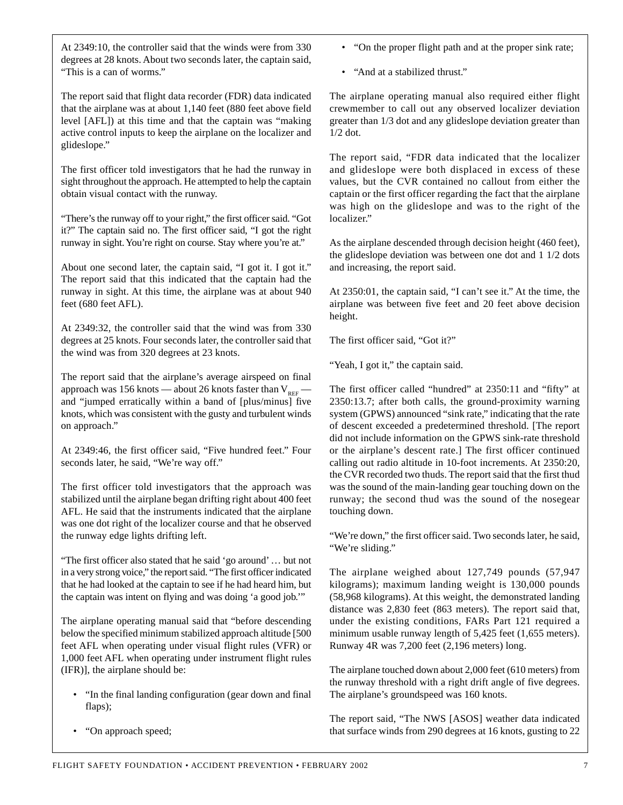At 2349:10, the controller said that the winds were from 330 degrees at 28 knots. About two seconds later, the captain said, "This is a can of worms."

The report said that flight data recorder (FDR) data indicated that the airplane was at about 1,140 feet (880 feet above field level [AFL]) at this time and that the captain was "making active control inputs to keep the airplane on the localizer and glideslope."

The first officer told investigators that he had the runway in sight throughout the approach. He attempted to help the captain obtain visual contact with the runway.

"There's the runway off to your right," the first officer said. "Got it?" The captain said no. The first officer said, "I got the right runway in sight. You're right on course. Stay where you're at."

About one second later, the captain said, "I got it. I got it." The report said that this indicated that the captain had the runway in sight. At this time, the airplane was at about 940 feet (680 feet AFL).

At 2349:32, the controller said that the wind was from 330 degrees at 25 knots. Four seconds later, the controller said that the wind was from 320 degrees at 23 knots.

The report said that the airplane's average airspeed on final approach was 156 knots — about 26 knots faster than  $V_{\text{RFE}}$  and "jumped erratically within a band of [plus/minus] five knots, which was consistent with the gusty and turbulent winds on approach."

At 2349:46, the first officer said, "Five hundred feet." Four seconds later, he said, "We're way off."

The first officer told investigators that the approach was stabilized until the airplane began drifting right about 400 feet AFL. He said that the instruments indicated that the airplane was one dot right of the localizer course and that he observed the runway edge lights drifting left.

"The first officer also stated that he said 'go around' … but not in a very strong voice," the report said. "The first officer indicated that he had looked at the captain to see if he had heard him, but the captain was intent on flying and was doing 'a good job.'"

The airplane operating manual said that "before descending below the specified minimum stabilized approach altitude [500 feet AFL when operating under visual flight rules (VFR) or 1,000 feet AFL when operating under instrument flight rules (IFR)], the airplane should be:

- "In the final landing configuration (gear down and final flaps);
- "On approach speed;

• "On the proper flight path and at the proper sink rate;

• "And at a stabilized thrust."

The airplane operating manual also required either flight crewmember to call out any observed localizer deviation greater than 1/3 dot and any glideslope deviation greater than 1/2 dot.

The report said, "FDR data indicated that the localizer and glideslope were both displaced in excess of these values, but the CVR contained no callout from either the captain or the first officer regarding the fact that the airplane was high on the glideslope and was to the right of the localizer."

As the airplane descended through decision height (460 feet), the glideslope deviation was between one dot and 1 1/2 dots and increasing, the report said.

At 2350:01, the captain said, "I can't see it." At the time, the airplane was between five feet and 20 feet above decision height.

The first officer said, "Got it?"

"Yeah, I got it," the captain said.

The first officer called "hundred" at 2350:11 and "fifty" at 2350:13.7; after both calls, the ground-proximity warning system (GPWS) announced "sink rate," indicating that the rate of descent exceeded a predetermined threshold. [The report did not include information on the GPWS sink-rate threshold or the airplane's descent rate.] The first officer continued calling out radio altitude in 10-foot increments. At 2350:20, the CVR recorded two thuds. The report said that the first thud was the sound of the main-landing gear touching down on the runway; the second thud was the sound of the nosegear touching down.

"We're down," the first officer said. Two seconds later, he said, "We're sliding."

The airplane weighed about 127,749 pounds (57,947 kilograms); maximum landing weight is 130,000 pounds (58,968 kilograms). At this weight, the demonstrated landing distance was 2,830 feet (863 meters). The report said that, under the existing conditions, FARs Part 121 required a minimum usable runway length of 5,425 feet (1,655 meters). Runway 4R was 7,200 feet (2,196 meters) long.

The airplane touched down about 2,000 feet (610 meters) from the runway threshold with a right drift angle of five degrees. The airplane's groundspeed was 160 knots.

The report said, "The NWS [ASOS] weather data indicated that surface winds from 290 degrees at 16 knots, gusting to 22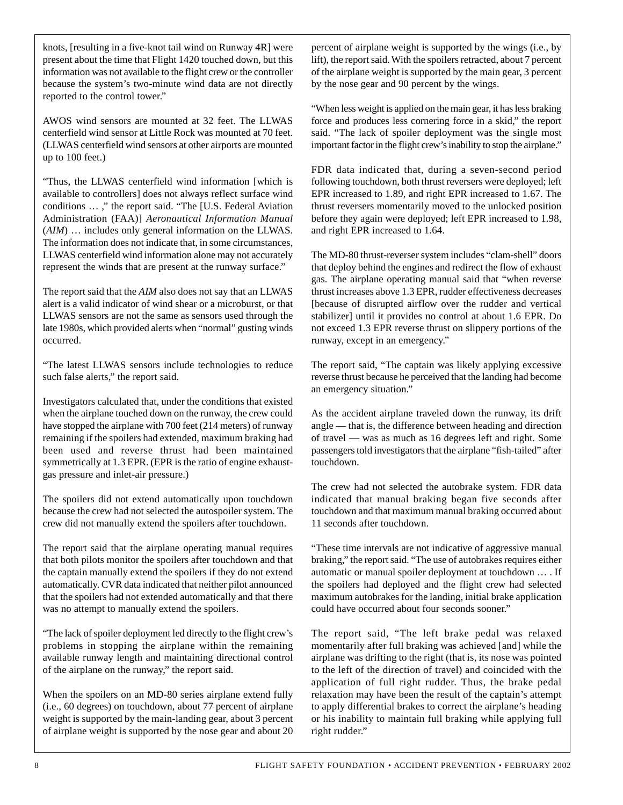knots, [resulting in a five-knot tail wind on Runway 4R] were present about the time that Flight 1420 touched down, but this information was not available to the flight crew or the controller because the system's two-minute wind data are not directly reported to the control tower."

AWOS wind sensors are mounted at 32 feet. The LLWAS centerfield wind sensor at Little Rock was mounted at 70 feet. (LLWAS centerfield wind sensors at other airports are mounted up to 100 feet.)

"Thus, the LLWAS centerfield wind information [which is available to controllers] does not always reflect surface wind conditions … ," the report said. "The [U.S. Federal Aviation Administration (FAA)] *Aeronautical Information Manual* (*AIM*) … includes only general information on the LLWAS. The information does not indicate that, in some circumstances, LLWAS centerfield wind information alone may not accurately represent the winds that are present at the runway surface."

The report said that the *AIM* also does not say that an LLWAS alert is a valid indicator of wind shear or a microburst, or that LLWAS sensors are not the same as sensors used through the late 1980s, which provided alerts when "normal" gusting winds occurred.

"The latest LLWAS sensors include technologies to reduce such false alerts," the report said.

Investigators calculated that, under the conditions that existed when the airplane touched down on the runway, the crew could have stopped the airplane with 700 feet (214 meters) of runway remaining if the spoilers had extended, maximum braking had been used and reverse thrust had been maintained symmetrically at 1.3 EPR. (EPR is the ratio of engine exhaustgas pressure and inlet-air pressure.)

The spoilers did not extend automatically upon touchdown because the crew had not selected the autospoiler system. The crew did not manually extend the spoilers after touchdown.

The report said that the airplane operating manual requires that both pilots monitor the spoilers after touchdown and that the captain manually extend the spoilers if they do not extend automatically. CVR data indicated that neither pilot announced that the spoilers had not extended automatically and that there was no attempt to manually extend the spoilers.

"The lack of spoiler deployment led directly to the flight crew's problems in stopping the airplane within the remaining available runway length and maintaining directional control of the airplane on the runway," the report said.

When the spoilers on an MD-80 series airplane extend fully (i.e., 60 degrees) on touchdown, about 77 percent of airplane weight is supported by the main-landing gear, about 3 percent of airplane weight is supported by the nose gear and about 20

percent of airplane weight is supported by the wings (i.e., by lift), the report said. With the spoilers retracted, about 7 percent of the airplane weight is supported by the main gear, 3 percent by the nose gear and 90 percent by the wings.

"When less weight is applied on the main gear, it has less braking force and produces less cornering force in a skid," the report said. "The lack of spoiler deployment was the single most important factor in the flight crew's inability to stop the airplane."

FDR data indicated that, during a seven-second period following touchdown, both thrust reversers were deployed; left EPR increased to 1.89, and right EPR increased to 1.67. The thrust reversers momentarily moved to the unlocked position before they again were deployed; left EPR increased to 1.98, and right EPR increased to 1.64.

The MD-80 thrust-reverser system includes "clam-shell" doors that deploy behind the engines and redirect the flow of exhaust gas. The airplane operating manual said that "when reverse thrust increases above 1.3 EPR, rudder effectiveness decreases [because of disrupted airflow over the rudder and vertical stabilizer] until it provides no control at about 1.6 EPR. Do not exceed 1.3 EPR reverse thrust on slippery portions of the runway, except in an emergency."

The report said, "The captain was likely applying excessive reverse thrust because he perceived that the landing had become an emergency situation."

As the accident airplane traveled down the runway, its drift angle — that is, the difference between heading and direction of travel — was as much as 16 degrees left and right. Some passengers told investigators that the airplane "fish-tailed" after touchdown.

The crew had not selected the autobrake system. FDR data indicated that manual braking began five seconds after touchdown and that maximum manual braking occurred about 11 seconds after touchdown.

"These time intervals are not indicative of aggressive manual braking," the report said. "The use of autobrakes requires either automatic or manual spoiler deployment at touchdown … . If the spoilers had deployed and the flight crew had selected maximum autobrakes for the landing, initial brake application could have occurred about four seconds sooner."

The report said, "The left brake pedal was relaxed momentarily after full braking was achieved [and] while the airplane was drifting to the right (that is, its nose was pointed to the left of the direction of travel) and coincided with the application of full right rudder. Thus, the brake pedal relaxation may have been the result of the captain's attempt to apply differential brakes to correct the airplane's heading or his inability to maintain full braking while applying full right rudder."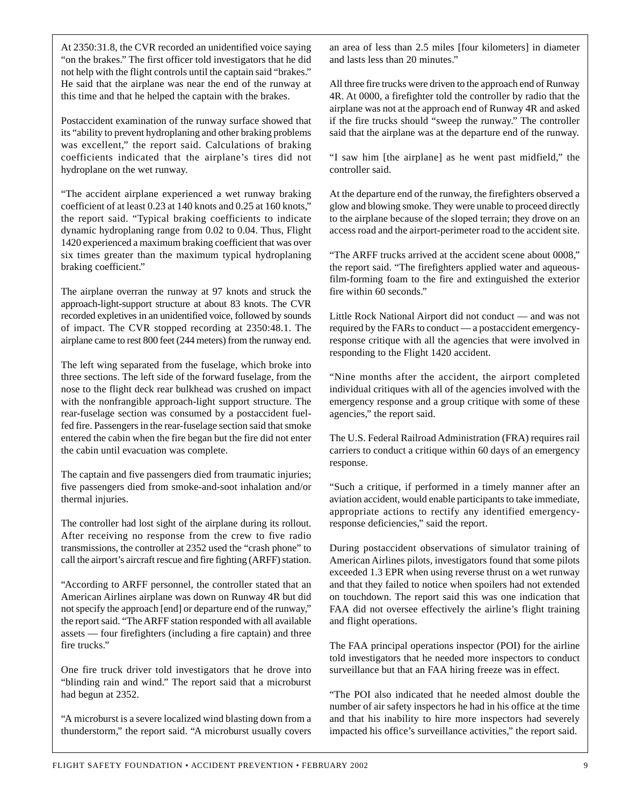At 2350:31.8, the CVR recorded an unidentified voice saying "on the brakes." The first officer told investigators that he did not help with the flight controls until the captain said "brakes." He said that the airplane was near the end of the runway at this time and that he helped the captain with the brakes.

Postaccident examination of the runway surface showed that its "ability to prevent hydroplaning and other braking problems was excellent," the report said. Calculations of braking coefficients indicated that the airplane's tires did not hydroplane on the wet runway.

"The accident airplane experienced a wet runway braking coefficient of at least 0.23 at 140 knots and 0.25 at 160 knots," the report said. "Typical braking coefficients to indicate dynamic hydroplaning range from 0.02 to 0.04. Thus, Flight 1420 experienced a maximum braking coefficient that was over six times greater than the maximum typical hydroplaning braking coefficient."

The airplane overran the runway at 97 knots and struck the approach-light-support structure at about 83 knots. The CVR recorded expletives in an unidentified voice, followed by sounds of impact. The CVR stopped recording at 2350:48.1. The airplane came to rest 800 feet (244 meters) from the runway end.

The left wing separated from the fuselage, which broke into three sections. The left side of the forward fuselage, from the nose to the flight deck rear bulkhead was crushed on impact with the nonfrangible approach-light support structure. The rear-fuselage section was consumed by a postaccident fuelfed fire. Passengers in the rear-fuselage section said that smoke entered the cabin when the fire began but the fire did not enter the cabin until evacuation was complete.

The captain and five passengers died from traumatic injuries; five passengers died from smoke-and-soot inhalation and/or thermal injuries.

The controller had lost sight of the airplane during its rollout. After receiving no response from the crew to five radio transmissions, the controller at 2352 used the "crash phone" to call the airport's aircraft rescue and fire fighting (ARFF) station.

"According to ARFF personnel, the controller stated that an American Airlines airplane was down on Runway 4R but did not specify the approach [end] or departure end of the runway," the report said. "The ARFF station responded with all available assets — four firefighters (including a fire captain) and three fire trucks."

One fire truck driver told investigators that he drove into "blinding rain and wind." The report said that a microburst had begun at 2352.

"A microburst is a severe localized wind blasting down from a thunderstorm," the report said. "A microburst usually covers an area of less than 2.5 miles [four kilometers] in diameter and lasts less than 20 minutes."

All three fire trucks were driven to the approach end of Runway 4R. At 0000, a firefighter told the controller by radio that the airplane was not at the approach end of Runway 4R and asked if the fire trucks should "sweep the runway." The controller said that the airplane was at the departure end of the runway.

"I saw him [the airplane] as he went past midfield," the controller said.

At the departure end of the runway, the firefighters observed a glow and blowing smoke. They were unable to proceed directly to the airplane because of the sloped terrain; they drove on an access road and the airport-perimeter road to the accident site.

"The ARFF trucks arrived at the accident scene about 0008," the report said. "The firefighters applied water and aqueousfilm-forming foam to the fire and extinguished the exterior fire within 60 seconds."

Little Rock National Airport did not conduct — and was not required by the FARs to conduct — a postaccident emergencyresponse critique with all the agencies that were involved in responding to the Flight 1420 accident.

"Nine months after the accident, the airport completed individual critiques with all of the agencies involved with the emergency response and a group critique with some of these agencies," the report said.

The U.S. Federal Railroad Administration (FRA) requires rail carriers to conduct a critique within 60 days of an emergency response.

"Such a critique, if performed in a timely manner after an aviation accident, would enable participants to take immediate, appropriate actions to rectify any identified emergencyresponse deficiencies," said the report.

During postaccident observations of simulator training of American Airlines pilots, investigators found that some pilots exceeded 1.3 EPR when using reverse thrust on a wet runway and that they failed to notice when spoilers had not extended on touchdown. The report said this was one indication that FAA did not oversee effectively the airline's flight training and flight operations.

The FAA principal operations inspector (POI) for the airline told investigators that he needed more inspectors to conduct surveillance but that an FAA hiring freeze was in effect.

"The POI also indicated that he needed almost double the number of air safety inspectors he had in his office at the time and that his inability to hire more inspectors had severely impacted his office's surveillance activities," the report said.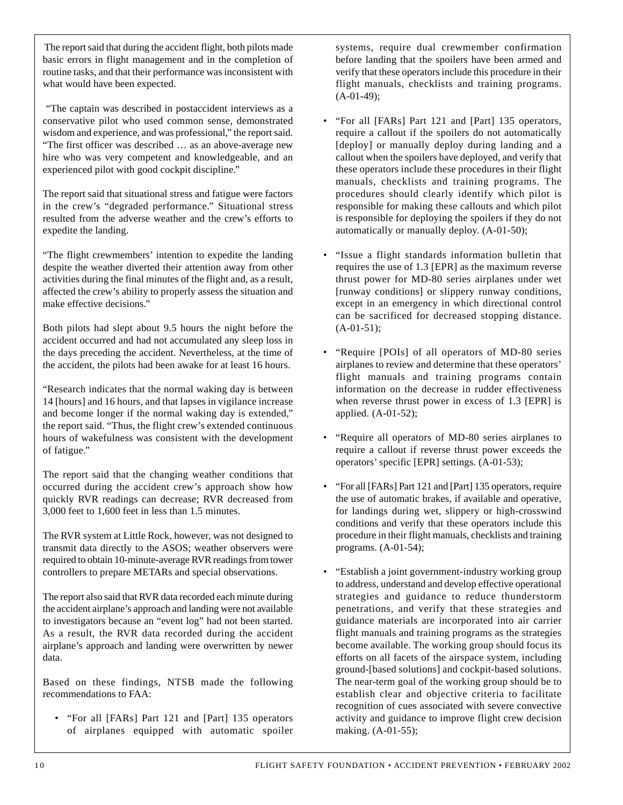The report said that during the accident flight, both pilots made basic errors in flight management and in the completion of routine tasks, and that their performance was inconsistent with what would have been expected.

"The captain was described in postaccident interviews as a conservative pilot who used common sense, demonstrated wisdom and experience, and was professional," the report said. "The first officer was described … as an above-average new hire who was very competent and knowledgeable, and an experienced pilot with good cockpit discipline."

The report said that situational stress and fatigue were factors in the crew's "degraded performance." Situational stress resulted from the adverse weather and the crew's efforts to expedite the landing.

"The flight crewmembers' intention to expedite the landing despite the weather diverted their attention away from other activities during the final minutes of the flight and, as a result, affected the crew's ability to properly assess the situation and make effective decisions."

Both pilots had slept about 9.5 hours the night before the accident occurred and had not accumulated any sleep loss in the days preceding the accident. Nevertheless, at the time of the accident, the pilots had been awake for at least 16 hours.

"Research indicates that the normal waking day is between 14 [hours] and 16 hours, and that lapses in vigilance increase and become longer if the normal waking day is extended," the report said. "Thus, the flight crew's extended continuous hours of wakefulness was consistent with the development of fatigue."

The report said that the changing weather conditions that occurred during the accident crew's approach show how quickly RVR readings can decrease; RVR decreased from 3,000 feet to 1,600 feet in less than 1.5 minutes.

The RVR system at Little Rock, however, was not designed to transmit data directly to the ASOS; weather observers were required to obtain 10-minute-average RVR readings from tower controllers to prepare METARs and special observations.

The report also said that RVR data recorded each minute during the accident airplane's approach and landing were not available to investigators because an "event log" had not been started. As a result, the RVR data recorded during the accident airplane's approach and landing were overwritten by newer data.

Based on these findings, NTSB made the following recommendations to FAA:

• "For all [FARs] Part 121 and [Part] 135 operators of airplanes equipped with automatic spoiler systems, require dual crewmember confirmation before landing that the spoilers have been armed and verify that these operators include this procedure in their flight manuals, checklists and training programs.  $(A-01-49);$ 

- "For all [FARs] Part 121 and [Part] 135 operators, require a callout if the spoilers do not automatically [deploy] or manually deploy during landing and a callout when the spoilers have deployed, and verify that these operators include these procedures in their flight manuals, checklists and training programs. The procedures should clearly identify which pilot is responsible for making these callouts and which pilot is responsible for deploying the spoilers if they do not automatically or manually deploy. (A-01-50);
- "Issue a flight standards information bulletin that requires the use of 1.3 [EPR] as the maximum reverse thrust power for MD-80 series airplanes under wet [runway conditions] or slippery runway conditions, except in an emergency in which directional control can be sacrificed for decreased stopping distance.  $(A-01-51);$
- "Require [POIs] of all operators of MD-80 series airplanes to review and determine that these operators' flight manuals and training programs contain information on the decrease in rudder effectiveness when reverse thrust power in excess of 1.3 [EPR] is applied. (A-01-52);
- "Require all operators of MD-80 series airplanes to require a callout if reverse thrust power exceeds the operators' specific [EPR] settings. (A-01-53);
- "For all [FARs] Part 121 and [Part] 135 operators, require the use of automatic brakes, if available and operative, for landings during wet, slippery or high-crosswind conditions and verify that these operators include this procedure in their flight manuals, checklists and training programs. (A-01-54);
- "Establish a joint government-industry working group to address, understand and develop effective operational strategies and guidance to reduce thunderstorm penetrations, and verify that these strategies and guidance materials are incorporated into air carrier flight manuals and training programs as the strategies become available. The working group should focus its efforts on all facets of the airspace system, including ground-[based solutions] and cockpit-based solutions. The near-term goal of the working group should be to establish clear and objective criteria to facilitate recognition of cues associated with severe convective activity and guidance to improve flight crew decision making. (A-01-55);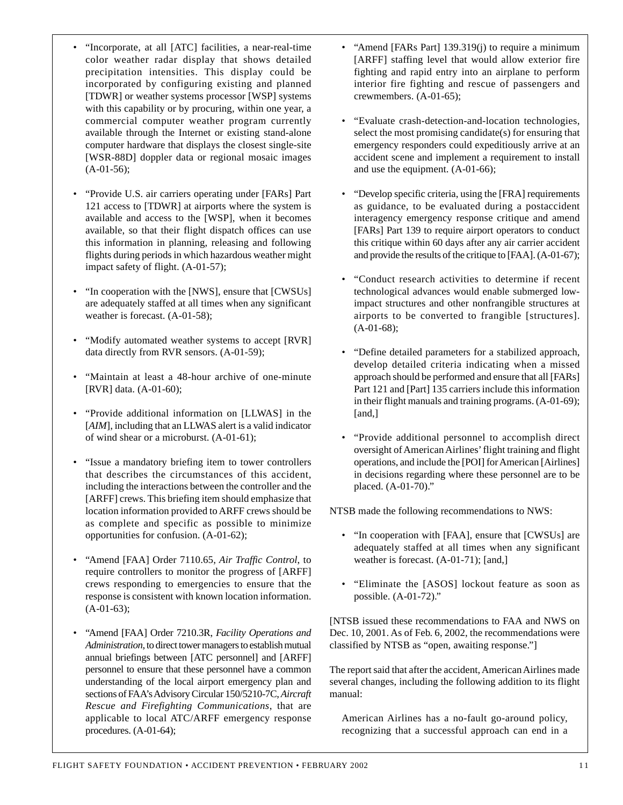- "Incorporate, at all [ATC] facilities, a near-real-time color weather radar display that shows detailed precipitation intensities. This display could be incorporated by configuring existing and planned [TDWR] or weather systems processor [WSP] systems with this capability or by procuring, within one year, a commercial computer weather program currently available through the Internet or existing stand-alone computer hardware that displays the closest single-site [WSR-88D] doppler data or regional mosaic images  $(A-01-56);$
- "Provide U.S. air carriers operating under [FARs] Part 121 access to [TDWR] at airports where the system is available and access to the [WSP], when it becomes available, so that their flight dispatch offices can use this information in planning, releasing and following flights during periods in which hazardous weather might impact safety of flight. (A-01-57);
- "In cooperation with the [NWS], ensure that [CWSUs] are adequately staffed at all times when any significant weather is forecast. (A-01-58);
- "Modify automated weather systems to accept [RVR] data directly from RVR sensors. (A-01-59);
- "Maintain at least a 48-hour archive of one-minute [RVR] data. (A-01-60);
- "Provide additional information on [LLWAS] in the [*AIM*], including that an LLWAS alert is a valid indicator of wind shear or a microburst. (A-01-61);
- "Issue a mandatory briefing item to tower controllers that describes the circumstances of this accident, including the interactions between the controller and the [ARFF] crews. This briefing item should emphasize that location information provided to ARFF crews should be as complete and specific as possible to minimize opportunities for confusion. (A-01-62);
- "Amend [FAA] Order 7110.65, *Air Traffic Control*, to require controllers to monitor the progress of [ARFF] crews responding to emergencies to ensure that the response is consistent with known location information.  $(A-01-63);$
- "Amend [FAA] Order 7210.3R, *Facility Operations and Administration*, to direct tower managers to establish mutual annual briefings between [ATC personnel] and [ARFF] personnel to ensure that these personnel have a common understanding of the local airport emergency plan and sections of FAA's Advisory Circular 150/5210-7C, *Aircraft Rescue and Firefighting Communications*, that are applicable to local ATC/ARFF emergency response procedures. (A-01-64);
- "Amend [FARs Part] 139.319(j) to require a minimum [ARFF] staffing level that would allow exterior fire fighting and rapid entry into an airplane to perform interior fire fighting and rescue of passengers and crewmembers. (A-01-65);
- "Evaluate crash-detection-and-location technologies, select the most promising candidate(s) for ensuring that emergency responders could expeditiously arrive at an accident scene and implement a requirement to install and use the equipment. (A-01-66);
- "Develop specific criteria, using the [FRA] requirements as guidance, to be evaluated during a postaccident interagency emergency response critique and amend [FARs] Part 139 to require airport operators to conduct this critique within 60 days after any air carrier accident and provide the results of the critique to [FAA]. (A-01-67);
- "Conduct research activities to determine if recent technological advances would enable submerged lowimpact structures and other nonfrangible structures at airports to be converted to frangible [structures]. (A-01-68);
- "Define detailed parameters for a stabilized approach, develop detailed criteria indicating when a missed approach should be performed and ensure that all [FARs] Part 121 and [Part] 135 carriers include this information in their flight manuals and training programs. (A-01-69); [and,]
- "Provide additional personnel to accomplish direct oversight of American Airlines' flight training and flight operations, and include the [POI] for American [Airlines] in decisions regarding where these personnel are to be placed. (A-01-70)."

NTSB made the following recommendations to NWS:

- "In cooperation with [FAA], ensure that [CWSUs] are adequately staffed at all times when any significant weather is forecast. (A-01-71); [and,]
- "Eliminate the [ASOS] lockout feature as soon as possible. (A-01-72)."

[NTSB issued these recommendations to FAA and NWS on Dec. 10, 2001. As of Feb. 6, 2002, the recommendations were classified by NTSB as "open, awaiting response."]

The report said that after the accident, American Airlines made several changes, including the following addition to its flight manual:

American Airlines has a no-fault go-around policy, recognizing that a successful approach can end in a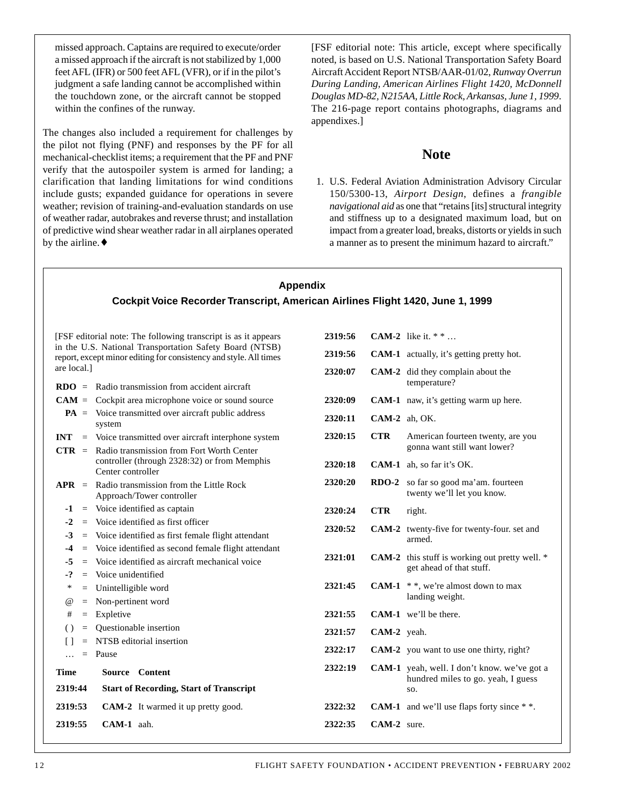missed approach. Captains are required to execute/order a missed approach if the aircraft is not stabilized by 1,000 feet AFL (IFR) or 500 feet AFL (VFR), or if in the pilot's judgment a safe landing cannot be accomplished within the touchdown zone, or the aircraft cannot be stopped within the confines of the runway.

The changes also included a requirement for challenges by the pilot not flying (PNF) and responses by the PF for all mechanical-checklist items; a requirement that the PF and PNF verify that the autospoiler system is armed for landing; a clarification that landing limitations for wind conditions include gusts; expanded guidance for operations in severe weather; revision of training-and-evaluation standards on use of weather radar, autobrakes and reverse thrust; and installation of predictive wind shear weather radar in all airplanes operated by the airline.♦

[FSF editorial note: This article, except where specifically noted, is based on U.S. National Transportation Safety Board Aircraft Accident Report NTSB/AAR-01/02, *Runway Overrun During Landing, American Airlines Flight 1420, McDonnell Douglas MD-82, N215AA, Little Rock, Arkansas, June 1, 1999*. The 216-page report contains photographs, diagrams and appendixes.]

## **Note**

1. U.S. Federal Aviation Administration Advisory Circular 150/5300-13, *Airport Design*, defines a *frangible navigational aid* as one that "retains [its] structural integrity and stiffness up to a designated maximum load, but on impact from a greater load, breaks, distorts or yields in such a manner as to present the minimum hazard to aircraft."

#### **Appendix Cockpit Voice Recorder Transcript, American Airlines Flight 1420, June 1, 1999** [FSF editorial note: The following transcript is as it appears in the U.S. National Transportation Safety Board (NTSB) report, except minor editing for consistency and style. All times are local.] **RDO** = Radio transmission from accident aircraft **CAM** = Cockpit area microphone voice or sound source **PA** = Voice transmitted over aircraft public address system **INT** = Voice transmitted over aircraft interphone system **CTR** = Radio transmission from Fort Worth Center controller (through 2328:32) or from Memphis Center controller **APR** = Radio transmission from the Little Rock Approach/Tower controller **-1** = Voice identified as captain **-2** = Voice identified as first officer **-3** = Voice identified as first female flight attendant **-4** = Voice identified as second female flight attendant **-5** = Voice identified as aircraft mechanical voice **-?** = Voice unidentified \* = Unintelligible word @ = Non-pertinent word # = Expletive ( ) = Questionable insertion [ ] = NTSB editorial insertion  $\ldots$  = Pause **Time Source Content 2319:44 Start of Recording, Start of Transcript** 2319:53 **CAM-2** It warmed it up pretty good. **2319:56 CAM-2** like it. \* \* … 2319:56 **CAM-1** actually, it's getting pretty hot. **2320:07 CAM-2** did they complain about the temperature? **2320:09 CAM-1** naw, it's getting warm up here. **2320:11 CAM-2** ah, OK. 2320:15 **CTR** American fourteen twenty, are you gonna want still want lower? **2320:18 CAM-1** ah, so far it's OK. **2320:20 RDO-2** so far so good ma'am. fourteen twenty we'll let you know. **2320:24 CTR** right. **2320:52 CAM-2** twenty-five for twenty-four. set and armed. **2321:01** CAM-2 this stuff is working out pretty well. \* get ahead of that stuff. **2321:45** CAM-1  $**$ , we're almost down to max landing weight. **2321:55 CAM-1** we'll be there. **2321:57 CAM-2** yeah. 2322:17 **CAM-2** you want to use one thirty, right? **2322:19 CAM-1** yeah, well. I don't know. we've got a hundred miles to go. yeah, I guess so. 2322:32 **CAM-1** and we'll use flaps forty since \* \*.

**2322:35 CAM-2** sure.

**2319:55 CAM-1** aah.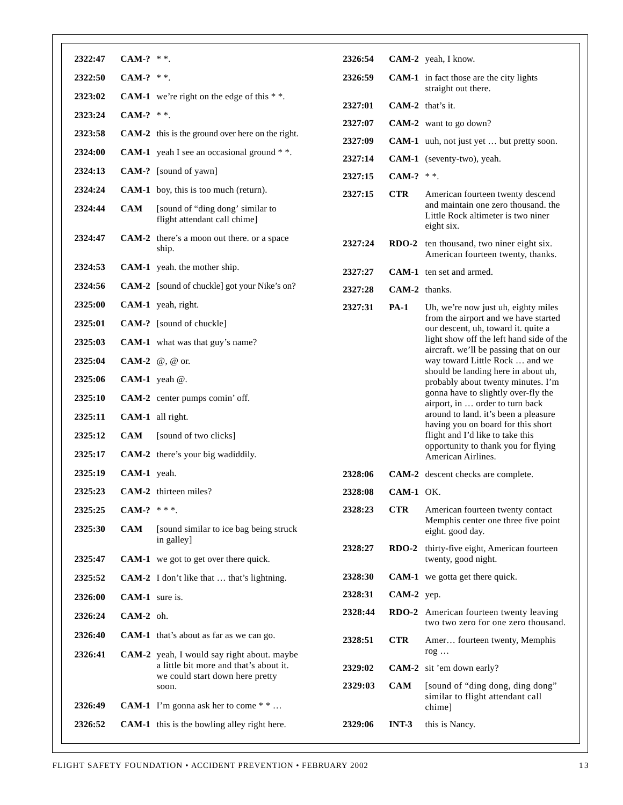| 2322:47 | CAM-? $**$ .   |                                                                  | 2326:54            |               | CAM-2 yeah, I know.                                                                                                                                  |
|---------|----------------|------------------------------------------------------------------|--------------------|---------------|------------------------------------------------------------------------------------------------------------------------------------------------------|
| 2322:50 | CAM-? $**$ .   |                                                                  | 2326:59            |               | <b>CAM-1</b> in fact those are the city lights                                                                                                       |
| 2323:02 |                | <b>CAM-1</b> we're right on the edge of this $**$ .              |                    |               | straight out there.                                                                                                                                  |
| 2323:24 | CAM-? $**$ .   |                                                                  | 2327:01<br>2327:07 |               | CAM-2 that's it.                                                                                                                                     |
| 2323:58 |                | CAM-2 this is the ground over here on the right.                 | 2327:09            |               | CAM-2 want to go down?<br>CAM-1 uuh, not just yet  but pretty soon.                                                                                  |
| 2324:00 |                | <b>CAM-1</b> yeah I see an occasional ground $*$ .               | 2327:14            |               | CAM-1 (seventy-two), yeah.                                                                                                                           |
| 2324:13 |                | CAM-? [sound of yawn]                                            | 2327:15            | CAM-? $**$ .  |                                                                                                                                                      |
| 2324:24 |                | <b>CAM-1</b> boy, this is too much (return).                     | 2327:15            | <b>CTR</b>    | American fourteen twenty descend                                                                                                                     |
| 2324:44 | <b>CAM</b>     | [sound of "ding dong' similar to<br>flight attendant call chime] |                    |               | and maintain one zero thousand. the<br>Little Rock altimeter is two niner<br>eight six.                                                              |
| 2324:47 |                | <b>CAM-2</b> there's a moon out there, or a space<br>ship.       | 2327:24            |               | RDO-2 ten thousand, two niner eight six.<br>American fourteen twenty, thanks.                                                                        |
| 2324:53 |                | <b>CAM-1</b> yeah. the mother ship.                              | 2327:27            |               | <b>CAM-1</b> ten set and armed.                                                                                                                      |
| 2324:56 |                | <b>CAM-2</b> [sound of chuckle] got your Nike's on?              | 2327:28            | CAM-2 thanks. |                                                                                                                                                      |
| 2325:00 |                | CAM-1 yeah, right.                                               | 2327:31            | <b>PA-1</b>   | Uh, we're now just uh, eighty miles<br>from the airport and we have started                                                                          |
| 2325:01 |                | CAM-? [sound of chuckle]                                         |                    |               | our descent, uh, toward it. quite a                                                                                                                  |
| 2325:03 |                | CAM-1 what was that guy's name?                                  |                    |               | light show off the left hand side of the<br>aircraft. we'll be passing that on our                                                                   |
| 2325:04 |                | CAM-2 $\omega$ , $\omega$ or.                                    |                    |               | way toward Little Rock  and we<br>should be landing here in about uh,                                                                                |
| 2325:06 |                | CAM-1 yeah $@.$                                                  |                    |               | probably about twenty minutes. I'm                                                                                                                   |
| 2325:10 |                | CAM-2 center pumps comin' off.                                   |                    |               | gonna have to slightly over-fly the<br>airport, in  order to turn back<br>around to land. it's been a pleasure<br>having you on board for this short |
| 2325:11 |                | CAM-1 all right.                                                 |                    |               |                                                                                                                                                      |
| 2325:12 | <b>CAM</b>     | [sound of two clicks]                                            |                    |               | flight and I'd like to take this<br>opportunity to thank you for flying                                                                              |
| 2325:17 |                | CAM-2 there's your big wadiddily.                                |                    |               | American Airlines.                                                                                                                                   |
| 2325:19 | CAM-1 yeah.    |                                                                  | 2328:06            |               | <b>CAM-2</b> descent checks are complete.                                                                                                            |
| 2325:23 |                | <b>CAM-2</b> thirteen miles?                                     | 2328:08            | $CAM-1$ OK.   |                                                                                                                                                      |
| 2325:25 | CAM-? $***$ .  |                                                                  | 2328:23            | <b>CTR</b>    | American fourteen twenty contact<br>Memphis center one three five point                                                                              |
| 2325:30 | <b>CAM</b>     | [sound similar to ice bag being struck]<br>in galley]            |                    |               | eight. good day.                                                                                                                                     |
| 2325:47 |                | <b>CAM-1</b> we got to get over there quick.                     | 2328:27            |               | RDO-2 thirty-five eight, American fourteen<br>twenty, good night.                                                                                    |
| 2325:52 |                | <b>CAM-2</b> I don't like that  that's lightning.                | 2328:30            |               | <b>CAM-1</b> we gotta get there quick.                                                                                                               |
| 2326:00 | CAM-1 sure is. |                                                                  | 2328:31            | CAM-2 yep.    |                                                                                                                                                      |
| 2326:24 | $CAM-2$ oh.    |                                                                  | 2328:44            |               | RDO-2 American fourteen twenty leaving                                                                                                               |
| 2326:40 |                | <b>CAM-1</b> that's about as far as we can go.                   |                    |               | two two zero for one zero thousand.                                                                                                                  |
| 2326:41 |                | <b>CAM-2</b> yeah, I would say right about. maybe                | 2328:51            | <b>CTR</b>    | Amer fourteen twenty, Memphis<br>$\log \dots$                                                                                                        |
|         |                | a little bit more and that's about it.                           | 2329:02            |               | CAM-2 sit 'em down early?                                                                                                                            |
|         |                | we could start down here pretty<br>soon.                         | 2329:03            | <b>CAM</b>    | [sound of "ding dong, ding dong"                                                                                                                     |
| 2326:49 |                | <b>CAM-1</b> I'm gonna ask her to come $*$ *                     |                    |               | similar to flight attendant call<br>chime]                                                                                                           |
| 2326:52 |                | <b>CAM-1</b> this is the bowling alley right here.               | 2329:06            | $INT-3$       | this is Nancy.                                                                                                                                       |
|         |                |                                                                  |                    |               |                                                                                                                                                      |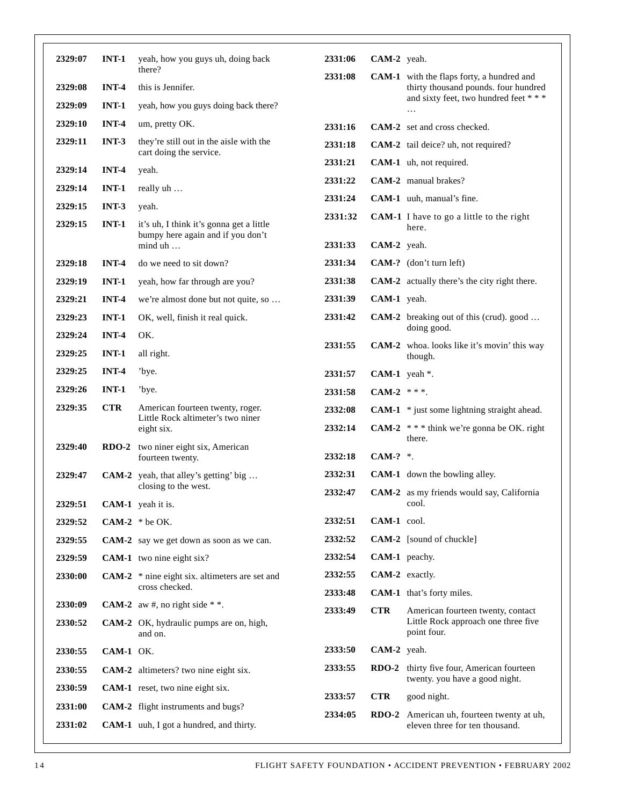| 2329:07 | $INT-1$    | yeah, how you guys uh, doing back<br>there?                                   | 2331:06 | CAM-2 yeah.      |                                                                                          |
|---------|------------|-------------------------------------------------------------------------------|---------|------------------|------------------------------------------------------------------------------------------|
| 2329:08 | $INT-4$    | this is Jennifer.                                                             | 2331:08 |                  | <b>CAM-1</b> with the flaps forty, a hundred and<br>thirty thousand pounds. four hundred |
| 2329:09 | $INT-1$    | yeah, how you guys doing back there?                                          |         |                  | and sixty feet, two hundred feet ***                                                     |
| 2329:10 | $INT-4$    | um, pretty OK.                                                                | 2331:16 |                  | <b>CAM-2</b> set and cross checked.                                                      |
| 2329:11 | $INT-3$    | they're still out in the aisle with the                                       | 2331:18 |                  | CAM-2 tail deice? uh, not required?                                                      |
|         |            | cart doing the service.                                                       | 2331:21 |                  | CAM-1 uh, not required.                                                                  |
| 2329:14 | $INT-4$    | yeah.                                                                         | 2331:22 |                  | CAM-2 manual brakes?                                                                     |
| 2329:14 | $INT-1$    | really uh                                                                     | 2331:24 |                  | CAM-1 uuh, manual's fine.                                                                |
| 2329:15 | $INT-3$    | yeah.                                                                         | 2331:32 |                  | <b>CAM-1</b> I have to go a little to the right                                          |
| 2329:15 | $INT-1$    | it's uh, I think it's gonna get a little<br>bumpy here again and if you don't |         |                  | here.                                                                                    |
|         |            | mind uh                                                                       | 2331:33 | CAM-2 yeah.      |                                                                                          |
| 2329:18 | $INT-4$    | do we need to sit down?                                                       | 2331:34 |                  | CAM-? (don't turn left)                                                                  |
| 2329:19 | $INT-1$    | yeah, how far through are you?                                                | 2331:38 |                  | <b>CAM-2</b> actually there's the city right there.                                      |
| 2329:21 | $INT-4$    | we're almost done but not quite, so                                           | 2331:39 | CAM-1 yeah.      |                                                                                          |
| 2329:23 | $INT-1$    | OK, well, finish it real quick.                                               | 2331:42 |                  | CAM-2 breaking out of this (crud). good<br>doing good.                                   |
| 2329:24 | $INT-4$    | OK.                                                                           | 2331:55 |                  | <b>CAM-2</b> whoa. looks like it's movin' this way                                       |
| 2329:25 | $INT-1$    | all right.                                                                    |         |                  | though.                                                                                  |
| 2329:25 | $INT-4$    | 'bye.                                                                         | 2331:57 | CAM-1 yeah $*$ . |                                                                                          |
| 2329:26 | $INT-1$    | 'bye.                                                                         | 2331:58 | CAM-2 $***$ .    |                                                                                          |
| 2329:35 | <b>CTR</b> | American fourteen twenty, roger.<br>Little Rock altimeter's two niner         | 2332:08 |                  | <b>CAM-1</b> * just some lightning straight ahead.                                       |
|         |            | eight six.                                                                    | 2332:14 |                  | CAM-2 $**$ think we're gonna be OK. right<br>there.                                      |
| 2329:40 | $RDO-2$    | two niner eight six, American<br>fourteen twenty.                             | 2332:18 | CAM-? $*$ .      |                                                                                          |
| 2329:47 |            | CAM-2 yeah, that alley's getting' big                                         | 2332:31 |                  | <b>CAM-1</b> down the bowling alley.                                                     |
|         |            | closing to the west.                                                          | 2332:47 |                  | CAM-2 as my friends would say, California                                                |
| 2329:51 |            | CAM-1 yeah it is.                                                             |         |                  | cool.                                                                                    |
| 2329:52 |            | CAM-2 $*$ be OK.                                                              | 2332:51 | CAM-1 cool.      |                                                                                          |
| 2329:55 |            | <b>CAM-2</b> say we get down as soon as we can.                               | 2332:52 |                  | <b>CAM-2</b> [sound of chuckle]                                                          |
| 2329:59 |            | CAM-1 two nine eight six?                                                     | 2332:54 | CAM-1 peachy.    |                                                                                          |
| 2330:00 |            | CAM-2 $*$ nine eight six. altimeters are set and                              | 2332:55 |                  | CAM-2 exactly.                                                                           |
|         |            | cross checked.                                                                | 2333:48 |                  | CAM-1 that's forty miles.                                                                |
| 2330:09 |            | <b>CAM-2</b> aw #, no right side * *.                                         | 2333:49 | <b>CTR</b>       | American fourteen twenty, contact                                                        |
| 2330:52 |            | CAM-2 OK, hydraulic pumps are on, high,<br>and on.                            |         |                  | Little Rock approach one three five<br>point four.                                       |
| 2330:55 | CAM-1 OK.  |                                                                               | 2333:50 | CAM-2 yeah.      |                                                                                          |
| 2330:55 |            | CAM-2 altimeters? two nine eight six.                                         | 2333:55 |                  | RDO-2 thirty five four, American fourteen<br>twenty. you have a good night.              |
| 2330:59 |            | CAM-1 reset, two nine eight six.                                              | 2333:57 | <b>CTR</b>       | good night.                                                                              |
| 2331:00 |            | CAM-2 flight instruments and bugs?                                            | 2334:05 |                  | RDO-2 American uh, fourteen twenty at uh,                                                |
| 2331:02 |            | CAM-1 uuh, I got a hundred, and thirty.                                       |         |                  | eleven three for ten thousand.                                                           |
|         |            |                                                                               |         |                  |                                                                                          |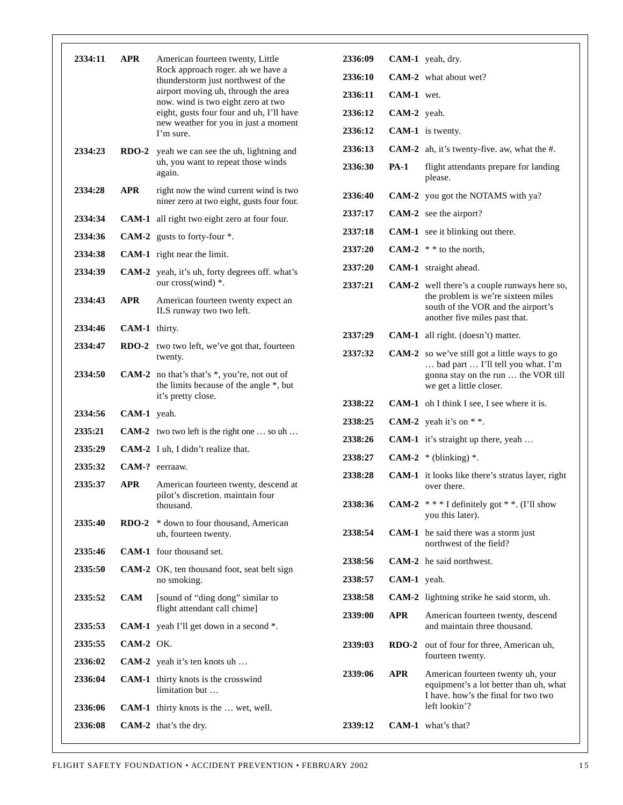|  | 2334:11            | <b>APR</b>                   | American fourteen twenty, Little<br>Rock approach roger. ah we have a<br>thunderstorm just northwest of the<br>airport moving uh, through the area<br>now. wind is two eight zero at two<br>eight, gusts four four and uh, I'll have<br>new weather for you in just a moment<br>I'm sure. | 2336:09 |             | CAM-1 yeah, dry.                                                                                                   |  |
|--|--------------------|------------------------------|-------------------------------------------------------------------------------------------------------------------------------------------------------------------------------------------------------------------------------------------------------------------------------------------|---------|-------------|--------------------------------------------------------------------------------------------------------------------|--|
|  |                    |                              |                                                                                                                                                                                                                                                                                           | 2336:10 |             | <b>CAM-2</b> what about wet?                                                                                       |  |
|  |                    |                              |                                                                                                                                                                                                                                                                                           | 2336:11 | CAM-1 wet.  |                                                                                                                    |  |
|  |                    |                              |                                                                                                                                                                                                                                                                                           | 2336:12 | CAM-2 yeah. |                                                                                                                    |  |
|  |                    |                              |                                                                                                                                                                                                                                                                                           | 2336:12 |             | CAM-1 is twenty.                                                                                                   |  |
|  | 2334:23            |                              | <b>RDO-2</b> yeah we can see the uh, lightning and                                                                                                                                                                                                                                        | 2336:13 |             | CAM-2 ah, it's twenty-five. aw, what the #.                                                                        |  |
|  |                    |                              | uh, you want to repeat those winds<br>again.                                                                                                                                                                                                                                              | 2336:30 | <b>PA-1</b> | flight attendants prepare for landing<br>please.                                                                   |  |
|  | 2334:28            | <b>APR</b>                   | right now the wind current wind is two<br>niner zero at two eight, gusts four four.                                                                                                                                                                                                       | 2336:40 |             | CAM-2 you got the NOTAMS with ya?                                                                                  |  |
|  | 2334:34            |                              | CAM-1 all right two eight zero at four four.                                                                                                                                                                                                                                              | 2337:17 |             | CAM-2 see the airport?                                                                                             |  |
|  | 2334:36            |                              | CAM-2 gusts to forty-four $*$ .                                                                                                                                                                                                                                                           | 2337:18 |             | <b>CAM-1</b> see it blinking out there.                                                                            |  |
|  | 2334:38            |                              | <b>CAM-1</b> right near the limit.                                                                                                                                                                                                                                                        | 2337:20 |             | CAM-2 $*$ * to the north.                                                                                          |  |
|  | 2334:39            |                              | <b>CAM-2</b> yeah, it's uh, forty degrees off. what's                                                                                                                                                                                                                                     | 2337:20 |             | <b>CAM-1</b> straight ahead.                                                                                       |  |
|  |                    |                              | our cross(wind) *.                                                                                                                                                                                                                                                                        | 2337:21 |             | <b>CAM-2</b> well there's a couple runways here so,                                                                |  |
|  | 2334:43            | <b>APR</b>                   | American fourteen twenty expect an<br>ILS runway two two left.                                                                                                                                                                                                                            |         |             | the problem is we're sixteen miles<br>south of the VOR and the airport's<br>another five miles past that.          |  |
|  | 2334:46            | CAM-1 thirty.                |                                                                                                                                                                                                                                                                                           | 2337:29 |             | CAM-1 all right. (doesn't) matter.                                                                                 |  |
|  | 2334:47            |                              | <b>RDO-2</b> two two left, we've got that, fourteen<br>twenty.                                                                                                                                                                                                                            | 2337:32 |             | <b>CAM-2</b> so we've still got a little ways to go<br>bad part  I'll tell you what. I'm                           |  |
|  | 2334:50            |                              | <b>CAM-2</b> no that's that's $*$ , you're, not out of<br>the limits because of the angle *, but                                                                                                                                                                                          |         |             | gonna stay on the run  the VOR till<br>we get a little closer.                                                     |  |
|  |                    |                              | it's pretty close.                                                                                                                                                                                                                                                                        | 2338:22 |             | <b>CAM-1</b> oh I think I see, I see where it is.                                                                  |  |
|  | 2334:56            | CAM-1 yeah.                  |                                                                                                                                                                                                                                                                                           | 2338:25 |             | CAM-2 yeah it's on $**$ .                                                                                          |  |
|  | 2335:21            |                              | <b>CAM-2</b> two two left is the right one  so uh                                                                                                                                                                                                                                         | 2338:26 |             | <b>CAM-1</b> it's straight up there, yeah                                                                          |  |
|  | 2335:29<br>2335:32 |                              | <b>CAM-2</b> I uh, I didn't realize that.                                                                                                                                                                                                                                                 | 2338:27 |             | CAM-2 $*$ (blinking) $*$ .                                                                                         |  |
|  | 2335:37            | CAM-? eerraaw.<br><b>APR</b> |                                                                                                                                                                                                                                                                                           | 2338:28 |             | <b>CAM-1</b> it looks like there's stratus layer, right                                                            |  |
|  |                    |                              | American fourteen twenty, descend at<br>pilot's discretion. maintain four<br>thousand.                                                                                                                                                                                                    |         |             | over there.                                                                                                        |  |
|  |                    |                              |                                                                                                                                                                                                                                                                                           | 2338:36 |             | <b>CAM-2</b> $**$ I definitely got $**$ . (I'll show<br>you this later).                                           |  |
|  | 2335:40            | $RDO-2$                      | * down to four thousand, American<br>uh, fourteen twenty.                                                                                                                                                                                                                                 | 2338:54 |             | <b>CAM-1</b> he said there was a storm just<br>northwest of the field?                                             |  |
|  | 2335:46            |                              | <b>CAM-1</b> four thousand set.                                                                                                                                                                                                                                                           | 2338:56 |             | <b>CAM-2</b> he said northwest.                                                                                    |  |
|  | 2335:50            |                              | CAM-2 OK, ten thousand foot, seat belt sign<br>no smoking.                                                                                                                                                                                                                                | 2338:57 | CAM-1 yeah. |                                                                                                                    |  |
|  | 2335:52            | CAM                          | [sound of "ding dong" similar to                                                                                                                                                                                                                                                          | 2338:58 |             | CAM-2 lightning strike he said storm, uh.                                                                          |  |
|  |                    |                              | flight attendant call chime]                                                                                                                                                                                                                                                              | 2339:00 | <b>APR</b>  | American fourteen twenty, descend                                                                                  |  |
|  | 2335:53            |                              | CAM-1 yeah I'll get down in a second *.                                                                                                                                                                                                                                                   |         |             | and maintain three thousand.                                                                                       |  |
|  | 2335:55            | CAM-2 OK.                    |                                                                                                                                                                                                                                                                                           | 2339:03 | $RDO-2$     | out of four for three, American uh,                                                                                |  |
|  | 2336:02            |                              | <b>CAM-2</b> yeah it's ten knots uh                                                                                                                                                                                                                                                       |         |             | fourteen twenty.                                                                                                   |  |
|  | 2336:04            |                              | CAM-1 thirty knots is the crosswind<br>limitation but                                                                                                                                                                                                                                     | 2339:06 | <b>APR</b>  | American fourteen twenty uh, your<br>equipment's a lot better than uh, what<br>I have, how's the final for two two |  |
|  | 2336:06            |                              | <b>CAM-1</b> thirty knots is the  wet, well.                                                                                                                                                                                                                                              |         |             | left lookin'?                                                                                                      |  |
|  | 2336:08            |                              | <b>CAM-2</b> that's the dry.                                                                                                                                                                                                                                                              | 2339:12 |             | <b>CAM-1</b> what's that?                                                                                          |  |
|  |                    |                              |                                                                                                                                                                                                                                                                                           |         |             |                                                                                                                    |  |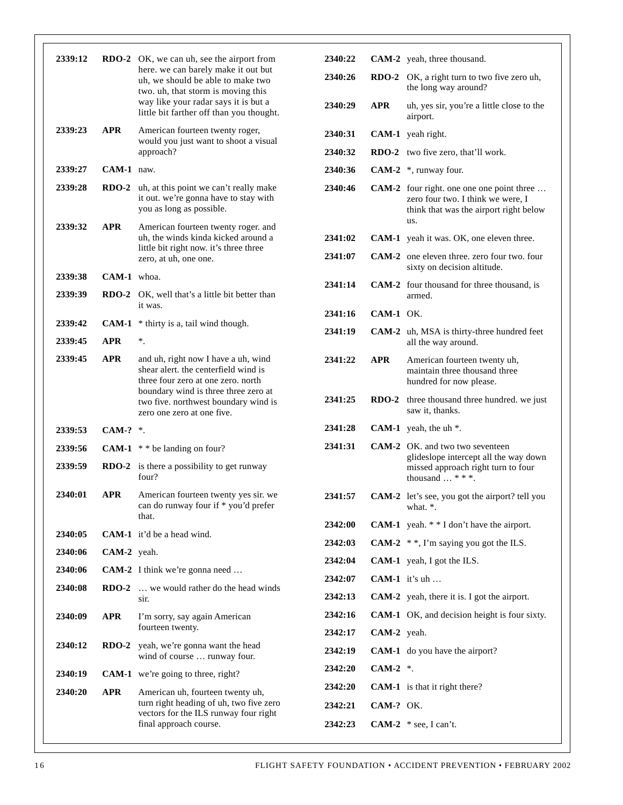| 2339:12 |             | RDO-2 OK, we can uh, see the airport from<br>here. we can barely make it out but                                  | 2340:22 |              | <b>CAM-2</b> yeah, three thousand.                                                                                                     |
|---------|-------------|-------------------------------------------------------------------------------------------------------------------|---------|--------------|----------------------------------------------------------------------------------------------------------------------------------------|
|         |             | uh, we should be able to make two<br>two. uh, that storm is moving this                                           | 2340:26 |              | RDO-2 OK, a right turn to two five zero uh,<br>the long way around?                                                                    |
|         |             | way like your radar says it is but a<br>little bit farther off than you thought.                                  | 2340:29 | <b>APR</b>   | uh, yes sir, you're a little close to the<br>airport.                                                                                  |
| 2339:23 | <b>APR</b>  | American fourteen twenty roger,<br>would you just want to shoot a visual                                          | 2340:31 |              | CAM-1 yeah right.                                                                                                                      |
|         |             | approach?                                                                                                         | 2340:32 |              | RDO-2 two five zero, that'll work.                                                                                                     |
| 2339:27 | CAM-1 naw.  |                                                                                                                   | 2340:36 |              | CAM-2 $*$ , runway four.                                                                                                               |
| 2339:28 | $RDO-2$     | uh, at this point we can't really make<br>it out. we're gonna have to stay with<br>you as long as possible.       | 2340:46 |              | <b>CAM-2</b> four right. one one one point three<br>zero four two. I think we were, I<br>think that was the airport right below<br>us. |
| 2339:32 | <b>APR</b>  | American fourteen twenty roger. and<br>uh, the winds kinda kicked around a                                        | 2341:02 |              | <b>CAM-1</b> yeah it was. OK, one eleven three.                                                                                        |
|         |             | little bit right now. it's three three                                                                            | 2341:07 |              | <b>CAM-2</b> one eleven three. zero four two. four                                                                                     |
| 2339:38 | CAM-1 whoa. | zero, at uh, one one.                                                                                             |         |              | sixty on decision altitude.                                                                                                            |
| 2339:39 | $RDO-2$     | OK, well that's a little bit better than                                                                          | 2341:14 |              | <b>CAM-2</b> four thousand for three thousand, is<br>armed.                                                                            |
| 2339:42 |             | it was.                                                                                                           | 2341:16 | CAM-1 OK.    |                                                                                                                                        |
| 2339:45 | <b>APR</b>  | <b>CAM-1</b> $*$ thirty is a, tail wind though.<br>$^\ast$ .                                                      | 2341:19 |              | <b>CAM-2</b> uh, MSA is thirty-three hundred feet<br>all the way around.                                                               |
| 2339:45 | <b>APR</b>  | and uh, right now I have a uh, wind<br>shear alert, the centerfield wind is<br>three four zero at one zero. north | 2341:22 | <b>APR</b>   | American fourteen twenty uh,<br>maintain three thousand three<br>hundred for now please.                                               |
|         |             | boundary wind is three three zero at<br>two five. northwest boundary wind is<br>zero one zero at one five.        | 2341:25 | <b>RDO-2</b> | three thousand three hundred, we just<br>saw it, thanks.                                                                               |
| 2339:53 | $CAM. ?$ *. |                                                                                                                   | 2341:28 |              | CAM-1 yeah, the uh $*$ .                                                                                                               |
| 2339:56 |             | CAM-1 $*$ * be landing on four?                                                                                   | 2341:31 |              | <b>CAM-2</b> OK. and two two seventeen                                                                                                 |
| 2339:59 |             | <b>RDO-2</b> is there a possibility to get runway<br>four?                                                        |         |              | glideslope intercept all the way down<br>missed approach right turn to four<br>thousand $\ldots$ * * *.                                |
| 2340:01 | <b>APR</b>  | American fourteen twenty yes sir. we<br>can do runway four if * you'd prefer                                      | 2341:57 |              | <b>CAM-2</b> let's see, you got the airport? tell you<br>what. *.                                                                      |
|         |             | that.                                                                                                             | 2342:00 |              | <b>CAM-1</b> yeah. $*$ * I don't have the airport.                                                                                     |
| 2340:05 |             | <b>CAM-1</b> it'd be a head wind.                                                                                 | 2342:03 |              | CAM-2 $*$ , I'm saying you got the ILS.                                                                                                |
| 2340:06 | CAM-2 yeah. |                                                                                                                   | 2342:04 |              | <b>CAM-1</b> yeah, I got the ILS.                                                                                                      |
| 2340:06 |             | CAM-2 I think we're gonna need<br><b>RDO-2</b> we would rather do the head winds                                  | 2342:07 |              | CAM-1 it's uh                                                                                                                          |
| 2340:08 |             | sir.                                                                                                              | 2342:13 |              | CAM-2 yeah, there it is. I got the airport.                                                                                            |
| 2340:09 | <b>APR</b>  | I'm sorry, say again American                                                                                     | 2342:16 |              | <b>CAM-1</b> OK, and decision height is four sixty.                                                                                    |
|         |             | fourteen twenty.                                                                                                  | 2342:17 | CAM-2 yeah.  |                                                                                                                                        |
| 2340:12 | $RDO-2$     | yeah, we're gonna want the head<br>wind of course  runway four.                                                   | 2342:19 |              | <b>CAM-1</b> do you have the airport?                                                                                                  |
| 2340:19 |             | <b>CAM-1</b> we're going to three, right?                                                                         | 2342:20 | CAM-2 $*$ .  |                                                                                                                                        |
| 2340:20 | <b>APR</b>  | American uh, fourteen twenty uh,                                                                                  | 2342:20 |              | <b>CAM-1</b> is that it right there?                                                                                                   |
|         |             | turn right heading of uh, two five zero<br>vectors for the ILS runway four right                                  | 2342:21 | CAM-? OK.    |                                                                                                                                        |
|         |             | final approach course.                                                                                            | 2342:23 |              | CAM-2 $*$ see, I can't.                                                                                                                |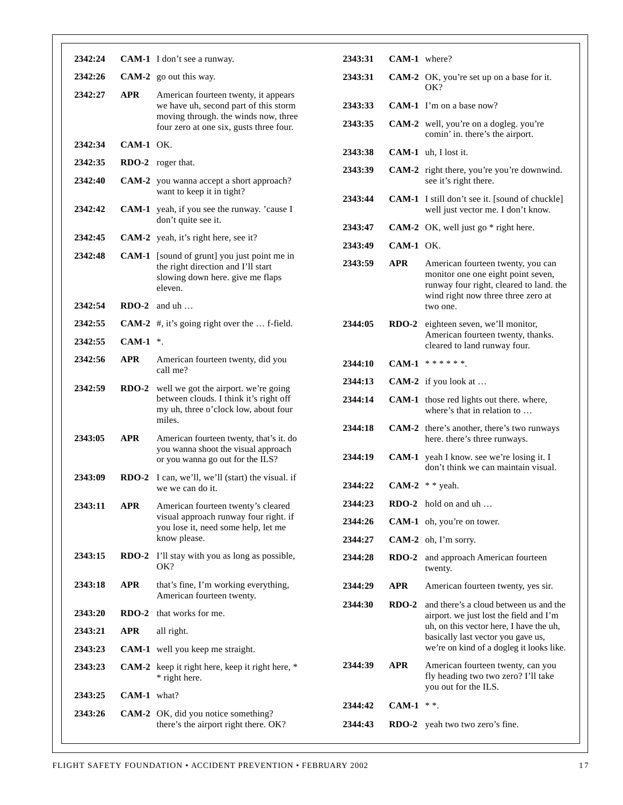| 2342:24 |               | <b>CAM-1</b> I don't see a runway.                                                                                                                               | 2343:31            | CA                           |
|---------|---------------|------------------------------------------------------------------------------------------------------------------------------------------------------------------|--------------------|------------------------------|
| 2342:26 |               | $CAM-2$ go out this way.                                                                                                                                         | 2343:31            | CA                           |
| 2342:27 | <b>APR</b>    | American fourteen twenty, it appears<br>we have uh, second part of this storm<br>moving through. the winds now, three<br>four zero at one six, gusts three four. | 2343:33<br>2343:35 | CA<br>CA                     |
| 2342:34 | $CAM-1$ OK.   |                                                                                                                                                                  | 2343:38            | CA.                          |
| 2342:35 |               | <b>RDO-2</b> roger that.                                                                                                                                         | 2343:39            | CA                           |
| 2342:40 |               | <b>CAM-2</b> you wanna accept a short approach?<br>want to keep it in tight?                                                                                     | 2343:44            | CA                           |
| 2342:42 |               | <b>CAM-1</b> yeah, if you see the runway. 'cause I<br>don't quite see it.                                                                                        | 2343:47            | CA.                          |
| 2342:45 |               | CAM-2 yeah, it's right here, see it?                                                                                                                             | 2343:49            | CA                           |
| 2342:48 |               | <b>CAM-1</b> [sound of grunt] you just point me in<br>the right direction and I'll start<br>slowing down here. give me flaps<br>eleven.                          | 2343:59            | <b>AP</b>                    |
| 2342:54 |               | $RDO-2$ and uh                                                                                                                                                   |                    |                              |
| 2342:55 |               | <b>CAM-2</b> #, it's going right over the  f-field.                                                                                                              | 2344:05            | <b>RD</b>                    |
| 2342:55 | CAM-1 $*$ .   |                                                                                                                                                                  |                    |                              |
| 2342:56 | <b>APR</b>    | American fourteen twenty, did you<br>call me?                                                                                                                    | 2344:10            | CA                           |
| 2342:59 |               | RDO-2 well we got the airport. we're going<br>between clouds. I think it's right off<br>my uh, three o'clock low, about four<br>miles.                           | 2344:13<br>2344:14 | CA.<br>CA                    |
| 2343:05 | <b>APR</b>    | American fourteen twenty, that's it. do<br>you wanna shoot the visual approach<br>or you wanna go out for the ILS?                                               | 2344:18<br>2344:19 | CA<br>CA                     |
| 2343:09 |               | RDO-2 I can, we'll, we'll (start) the visual. if<br>we we can do it.                                                                                             | 2344:22            | CA                           |
| 2343:11 | <b>APR</b>    | American fourteen twenty's cleared                                                                                                                               | 2344:23            | RD                           |
|         |               | visual approach runway four right. if<br>you lose it, need some help, let me                                                                                     | 2344:26            | CA                           |
|         |               | know please.                                                                                                                                                     | 2344:27            | CA                           |
| 2343:15 |               | <b>RDO-2</b> I'll stay with you as long as possible,<br>OK?                                                                                                      | 2344:28            | RD                           |
| 2343:18 | <b>APR</b>    | that's fine, I'm working everything,<br>American fourteen twenty.                                                                                                | 2344:29<br>2344:30 | AP <sub>l</sub><br><b>RD</b> |
| 2343:20 |               | <b>RDO-2</b> that works for me.                                                                                                                                  |                    |                              |
| 2343:21 | <b>APR</b>    | all right.                                                                                                                                                       |                    |                              |
| 2343:23 |               | CAM-1 well you keep me straight.                                                                                                                                 |                    |                              |
| 2343:23 |               | CAM-2 keep it right here, keep it right here, *<br>* right here.                                                                                                 | 2344:39            | AP <sub>l</sub>              |
| 2343:25 | $CAM-1$ what? |                                                                                                                                                                  | 2344:42            | CA                           |
| 2343:26 |               | CAM-2 OK, did you notice something?<br>there's the airport right there. OK?                                                                                      | 2344:43            | <b>RD</b>                    |
|         |               |                                                                                                                                                                  |                    |                              |

| $CAM-1$ where? |                                                                                                                                                                                                                |
|----------------|----------------------------------------------------------------------------------------------------------------------------------------------------------------------------------------------------------------|
|                | <b>CAM-2</b> OK, you're set up on a base for it.<br>OK?                                                                                                                                                        |
|                | <b>CAM-1</b> I'm on a base now?                                                                                                                                                                                |
|                | <b>CAM-2</b> well, you're on a dogleg. you're<br>comin' in. there's the airport.                                                                                                                               |
|                | CAM-1 uh, I lost it.                                                                                                                                                                                           |
|                | CAM-2 right there, you're you're downwind.<br>see it's right there.                                                                                                                                            |
| $CAM-1$        | I still don't see it. [sound of chuckle]<br>well just vector me. I don't know.                                                                                                                                 |
|                | <b>CAM-2</b> OK, well just go $*$ right here.                                                                                                                                                                  |
| $CAM-1$ OK.    |                                                                                                                                                                                                                |
| <b>APR</b>     | American fourteen twenty, you can<br>monitor one one eight point seven,<br>runway four right, cleared to land. the<br>wind right now three three zero at<br>two one.                                           |
|                | RDO-2 eighteen seven, we'll monitor,<br>American fourteen twenty, thanks.<br>cleared to land runway four.                                                                                                      |
|                | CAM-1 ******.                                                                                                                                                                                                  |
|                | <b>CAM-2</b> if you look at                                                                                                                                                                                    |
|                | CAM-1 those red lights out there. where,<br>where's that in relation to                                                                                                                                        |
|                | CAM-2 there's another, there's two runways<br>here. there's three runways.                                                                                                                                     |
|                | <b>CAM-1</b> yeah I know. see we're losing it. I<br>don't think we can maintain visual.                                                                                                                        |
|                | CAM-2 $*$ yeah.                                                                                                                                                                                                |
| $RDO-2$        | hold on and $\mathsf{u}\mathsf{h}$ $\ldots$                                                                                                                                                                    |
| <b>CAM-1</b>   | oh, you're on tower.                                                                                                                                                                                           |
|                | CAM-2 oh, I'm sorry.                                                                                                                                                                                           |
| <b>RDO-2</b>   | and approach American fourteen<br>twenty.                                                                                                                                                                      |
| <b>APR</b>     | American fourteen twenty, yes sir.                                                                                                                                                                             |
| $RDO-2$        | and there's a cloud between us and the<br>airport. we just lost the field and I'm<br>uh, on this vector here, I have the uh,<br>basically last vector you gave us,<br>we're on kind of a dogleg it looks like. |
| APR            | American fourteen twenty, can you<br>fly heading two two zero? I'll take<br>you out for the ILS.                                                                                                               |
| $CAM-1$        | * *.                                                                                                                                                                                                           |
| <b>RDO-2</b>   | yeah two two zero's fine.                                                                                                                                                                                      |
|                |                                                                                                                                                                                                                |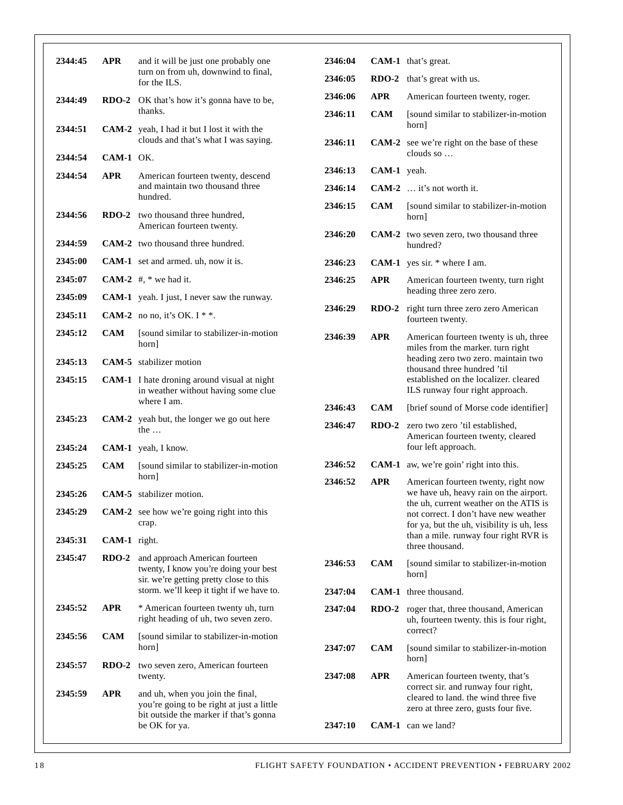| 2344:45 | <b>APR</b>   | and it will be just one probably one<br>turn on from uh, downwind to final,<br>for the ILS.                             | 2346:04 |             | <b>CAM-1</b> that's great.                                                                                                    |
|---------|--------------|-------------------------------------------------------------------------------------------------------------------------|---------|-------------|-------------------------------------------------------------------------------------------------------------------------------|
|         |              |                                                                                                                         | 2346:05 | $RDO-2$     | that's great with us.                                                                                                         |
| 2344:49 |              | <b>RDO-2</b> OK that's how it's gonna have to be,                                                                       | 2346:06 | <b>APR</b>  | American fourteen twenty, roger.                                                                                              |
| 2344:51 |              | thanks.<br><b>CAM-2</b> yeah, I had it but I lost it with the                                                           | 2346:11 | <b>CAM</b>  | [sound similar to stabilizer-in-motion]<br>horn]                                                                              |
| 2344:54 | CAM-1 OK.    | clouds and that's what I was saying.                                                                                    | 2346:11 |             | CAM-2 see we're right on the base of these<br>clouds so                                                                       |
|         |              |                                                                                                                         | 2346:13 | CAM-1 yeah. |                                                                                                                               |
| 2344:54 | <b>APR</b>   | American fourteen twenty, descend<br>and maintain two thousand three                                                    | 2346:14 |             | CAM-2  it's not worth it.                                                                                                     |
|         |              | hundred.                                                                                                                | 2346:15 | <b>CAM</b>  | [sound similar to stabilizer-in-motion]                                                                                       |
| 2344:56 |              | RDO-2 two thousand three hundred,<br>American fourteen twenty.                                                          | 2346:20 |             | horn]<br><b>CAM-2</b> two seven zero, two thousand three                                                                      |
| 2344:59 |              | <b>CAM-2</b> two thousand three hundred.                                                                                |         |             | hundred?                                                                                                                      |
| 2345:00 |              | <b>CAM-1</b> set and armed. uh, now it is.                                                                              | 2346:23 |             | <b>CAM-1</b> yes sir. $*$ where I am.                                                                                         |
| 2345:07 |              | CAM-2 $#$ , * we had it.                                                                                                | 2346:25 | <b>APR</b>  | American fourteen twenty, turn right                                                                                          |
| 2345:09 |              | <b>CAM-1</b> yeah. I just, I never saw the runway.                                                                      | 2346:29 |             | heading three zero zero.                                                                                                      |
| 2345:11 |              | CAM-2 no no, it's OK. I $*$ .                                                                                           |         |             | <b>RDO-2</b> right turn three zero zero American<br>fourteen twenty.                                                          |
| 2345:12 | <b>CAM</b>   | [sound similar to stabilizer-in-motion]<br>horn]                                                                        | 2346:39 | <b>APR</b>  | American fourteen twenty is uh, three<br>miles from the marker. turn right                                                    |
| 2345:13 |              | <b>CAM-5</b> stabilizer motion                                                                                          |         |             | heading zero two zero. maintain two<br>thousand three hundred 'til                                                            |
| 2345:15 |              | <b>CAM-1</b> I hate droning around visual at night<br>in weather without having some clue                               |         |             | established on the localizer, cleared<br>ILS runway four right approach.                                                      |
|         |              | where I am.                                                                                                             | 2346:43 | <b>CAM</b>  | [brief sound of Morse code identifier]                                                                                        |
| 2345:23 |              | CAM-2 yeah but, the longer we go out here<br>the $\dots$                                                                | 2346:47 | $RDO-2$     | zero two zero 'til established,<br>American fourteen twenty, cleared                                                          |
| 2345:24 |              | CAM-1 yeah, I know.                                                                                                     |         |             | four left approach.                                                                                                           |
| 2345:25 | <b>CAM</b>   | [sound similar to stabilizer-in-motion<br>horn]                                                                         | 2346:52 |             | <b>CAM-1</b> aw, we're goin' right into this.                                                                                 |
| 2345:26 |              | <b>CAM-5</b> stabilizer motion.                                                                                         | 2346:52 | <b>APR</b>  | American fourteen twenty, right now<br>we have uh, heavy rain on the airport.                                                 |
| 2345:29 |              | <b>CAM-2</b> see how we're going right into this<br>crap.                                                               |         |             | the uh, current weather on the ATIS is<br>not correct. I don't have new weather<br>for ya, but the uh, visibility is uh, less |
| 2345:31 | CAM-1 right. |                                                                                                                         |         |             | than a mile. runway four right RVR is<br>three thousand.                                                                      |
| 2345:47 | $RDO-2$      | and approach American fourteen<br>twenty, I know you're doing your best                                                 | 2346:53 | <b>CAM</b>  | [sound similar to stabilizer-in-motion]<br>horn]                                                                              |
|         |              | sir. we're getting pretty close to this<br>storm. we'll keep it tight if we have to.                                    | 2347:04 |             | CAM-1 three thousand.                                                                                                         |
| 2345:52 | <b>APR</b>   | * American fourteen twenty uh, turn<br>right heading of uh, two seven zero.                                             | 2347:04 |             | <b>RDO-2</b> roger that, three thousand, American<br>uh, fourteen twenty. this is four right,                                 |
| 2345:56 | CAM          | [sound similar to stabilizer-in-motion]<br>horn]                                                                        | 2347:07 | <b>CAM</b>  | correct?<br>[sound similar to stabilizer-in-motion]                                                                           |
| 2345:57 | $RDO-2$      | two seven zero, American fourteen<br>twenty.                                                                            | 2347:08 | <b>APR</b>  | horn]<br>American fourteen twenty, that's                                                                                     |
| 2345:59 | <b>APR</b>   | and uh, when you join the final,<br>you're going to be right at just a little<br>bit outside the marker if that's gonna |         |             | correct sir. and runway four right,<br>cleared to land, the wind three five<br>zero at three zero, gusts four five.           |
|         |              | be OK for ya.                                                                                                           | 2347:10 |             | <b>CAM-1</b> can we land?                                                                                                     |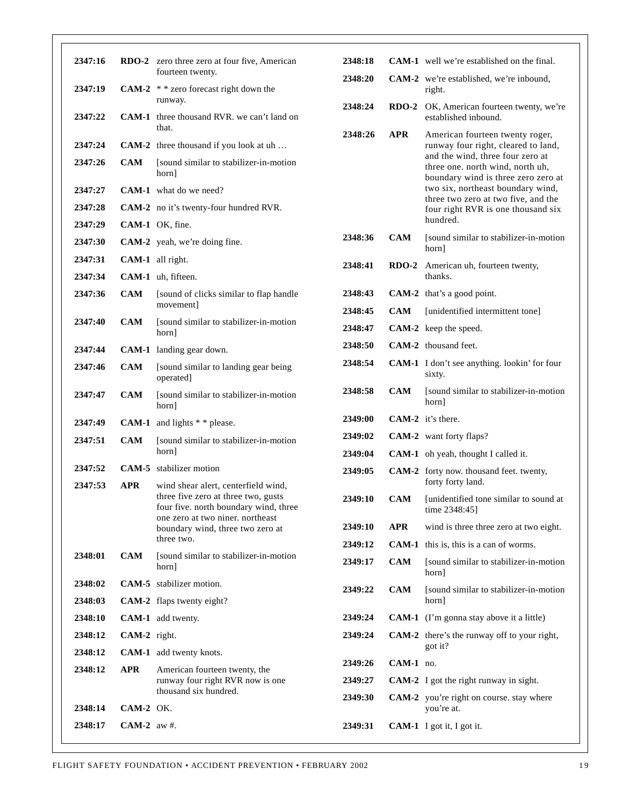| 2347:16 |               | RDO-2 zero three zero at four five, American                               | 2348:18 |            | <b>CAM-1</b> well we're established on the final.                                                           |
|---------|---------------|----------------------------------------------------------------------------|---------|------------|-------------------------------------------------------------------------------------------------------------|
|         |               | fourteen twenty.                                                           | 2348:20 |            | <b>CAM-2</b> we're established, we're inbound,                                                              |
| 2347:19 |               | CAM-2 $*$ * zero forecast right down the                                   |         |            | right.                                                                                                      |
| 2347:22 |               | runway.<br><b>CAM-1</b> three thousand RVR, we can't land on               | 2348:24 | $RDO-2$    | OK, American fourteen twenty, we're<br>established inbound.                                                 |
|         |               | that.                                                                      | 2348:26 | <b>APR</b> | American fourteen twenty roger,                                                                             |
| 2347:24 |               | CAM-2 three thousand if you look at uh                                     |         |            | runway four right, cleared to land,                                                                         |
| 2347:26 | <b>CAM</b>    | [sound similar to stabilizer-in-motion<br>hornl                            |         |            | and the wind, three four zero at<br>three one. north wind, north uh,<br>boundary wind is three zero zero at |
| 2347:27 |               | <b>CAM-1</b> what do we need?                                              |         |            | two six, northeast boundary wind,<br>three two zero at two five, and the                                    |
| 2347:28 |               | CAM-2 no it's twenty-four hundred RVR.                                     |         |            | four right RVR is one thousand six                                                                          |
| 2347:29 |               | CAM-1 OK, fine.                                                            |         |            | hundred.                                                                                                    |
| 2347:30 |               | CAM-2 yeah, we're doing fine.                                              | 2348:36 | <b>CAM</b> | [sound similar to stabilizer-in-motion<br>horn]                                                             |
| 2347:31 |               | CAM-1 all right.                                                           | 2348:41 |            | RDO-2 American uh, fourteen twenty,                                                                         |
| 2347:34 |               | CAM-1 uh, fifteen.                                                         |         |            | thanks.                                                                                                     |
| 2347:36 | <b>CAM</b>    | [sound of clicks similar to flap handle                                    | 2348:43 |            | <b>CAM-2</b> that's a good point.                                                                           |
|         |               | movement]                                                                  | 2348:45 | <b>CAM</b> | [unidentified intermittent tone]                                                                            |
| 2347:40 | <b>CAM</b>    | [sound similar to stabilizer-in-motion]<br>horn]                           | 2348:47 |            | CAM-2 keep the speed.                                                                                       |
| 2347:44 |               | CAM-1 landing gear down.                                                   | 2348:50 |            | CAM-2 thousand feet.                                                                                        |
| 2347:46 | <b>CAM</b>    | [sound similar to landing gear being<br>operated]                          | 2348:54 |            | <b>CAM-1</b> I don't see anything. lookin' for four<br>sixty.                                               |
| 2347:47 | <b>CAM</b>    | [sound similar to stabilizer-in-motion]<br>horn]                           | 2348:58 | <b>CAM</b> | [sound similar to stabilizer-in-motion]<br>horn]                                                            |
| 2347:49 |               | <b>CAM-1</b> and lights $*$ $*$ please.                                    | 2349:00 |            | $CAM-2$ it's there.                                                                                         |
| 2347:51 | <b>CAM</b>    | [sound similar to stabilizer-in-motion]                                    | 2349:02 |            | CAM-2 want forty flaps?                                                                                     |
|         |               | horn]                                                                      | 2349:04 |            | CAM-1 oh yeah, thought I called it.                                                                         |
| 2347:52 |               | <b>CAM-5</b> stabilizer motion                                             | 2349:05 |            | CAM-2 forty now. thousand feet. twenty,                                                                     |
| 2347:53 | <b>APR</b>    | wind shear alert, centerfield wind,<br>three five zero at three two, gusts |         |            | forty forty land.                                                                                           |
|         |               | four five. north boundary wind, three                                      | 2349:10 | <b>CAM</b> | [unidentified tone similar to sound at<br>time 2348:45]                                                     |
|         |               | one zero at two niner, northeast<br>boundary wind, three two zero at       | 2349:10 | APR        | wind is three three zero at two eight.                                                                      |
|         |               | three two.                                                                 | 2349:12 |            | <b>CAM-1</b> this is, this is a can of worms.                                                               |
| 2348:01 | <b>CAM</b>    | [sound similar to stabilizer-in-motion]<br>horn]                           | 2349:17 | CAM        | [sound similar to stabilizer-in-motion]<br>horn                                                             |
| 2348:02 |               | <b>CAM-5</b> stabilizer motion.                                            | 2349:22 | <b>CAM</b> | [sound similar to stabilizer-in-motion]                                                                     |
| 2348:03 |               | CAM-2 flaps twenty eight?                                                  |         |            | horn]                                                                                                       |
| 2348:10 |               | CAM-1 add twenty.                                                          | 2349:24 |            | <b>CAM-1</b> (I'm gonna stay above it a little)                                                             |
| 2348:12 | CAM-2 right.  |                                                                            | 2349:24 |            | <b>CAM-2</b> there's the runway off to your right,<br>got it?                                               |
| 2348:12 |               | <b>CAM-1</b> add twenty knots.                                             | 2349:26 | CAM-1 no.  |                                                                                                             |
| 2348:12 | <b>APR</b>    | American fourteen twenty, the<br>runway four right RVR now is one          | 2349:27 |            | <b>CAM-2</b> I got the right runway in sight.                                                               |
|         |               | thousand six hundred.                                                      | 2349:30 |            | CAM-2 you're right on course. stay where                                                                    |
| 2348:14 | CAM-2 OK.     |                                                                            |         |            | you're at.                                                                                                  |
| 2348:17 | CAM-2 $aw#$ . |                                                                            | 2349:31 |            | CAM-1 I got it, I got it.                                                                                   |